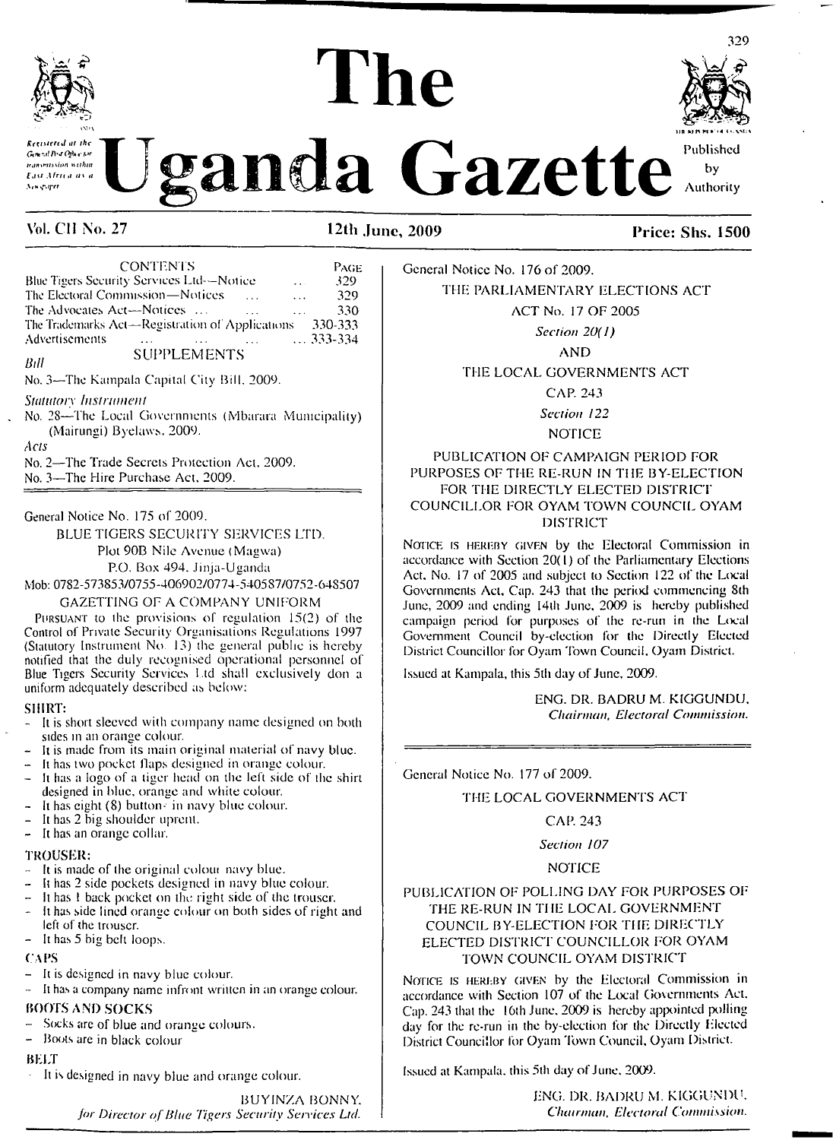

Construction of the Cazette Published .<br>Astronomia

**<sup>11</sup><sup>a</sup> mk pi » <4 i <,via**

329

by Authority

| <b>CONTENTS</b>                                         | PAGE                      |
|---------------------------------------------------------|---------------------------|
| Blue Tigers Security Services Ltd--Notice               | 329<br>$\sim$ $\sim$      |
| The Electoral Commission-Notices                        | 329<br>$\ddots$           |
| The Advocates Act—Notices<br>$\cdots$                   | 330<br>$\mathbf{1}$       |
| The Trademarks Act—Registration of Applications 330-333 |                           |
| Advertisements                                          | $\ldots$ $\ldots$ 333-334 |
| <b>SUPPLEMENTS</b><br>Bill                              |                           |
| No. 3—The Kampala Capital City Bill, 2009.              |                           |

*Statutory Instrument*

No. 28—The Local Governments (Mbarara Municipality) (Mairungi) Byelaws. 2009.

**Ac<sub>1</sub>s** 

No. 2—The Trade Secrets Protection Act. 2009. No. 3—The Hire Purchase Act. 2009.

General Notice No. 175 of 2009.

BLUE TIGERS SECURITY SERVICES LTD. Plot 90B Nile Avenue (Magwa) P.O. Box 494. Jinja-Uganda Mob: 0782-573853/0755-406902/0774-540587/0752-648507

GAZETTING OE A COMPANY UNIFORM

Pursuant to the provisions of regulation 15(2) of the Control of Private Security Organisations Regulations 1997 (Statutory Instrument No 13) the general public is hereby notified that the duly recognised operational personnel of Blue Tigers Security Services Ltd shall exclusively don a uniform adequately described as below:

SHIRT:

- It is short sleeved with company name designed on both sides in an orange colour.
- It is made from its main original material of navy blue.
- It has two pocket flaps designed in orange colour.
- It has a logo of a tiger head on the left side of the shirt designed in blue, orange and white colour.
- It has eight  $(8)$  button- in navy blue colour. It has 2 big shoulder uprent.
- It has an orange collar.

TROUSER:

- It is made of the original colour navy blue.
- It has <sup>2</sup> side pockets designed in navy blue colour.
- It has 1 back pocket on the right side of the trouser.
- It has side lined orange colour on both sides of right and left of the trouser.
- It has <sup>5</sup> big belt loops.

CAPS

- It is designed in navy blue colour.
- Il has a company name infront written in an orange colour. BOOTS AND SOCKS
- Socks are of blue and orange colours.
- Boots are in black colour

#### BELT

It is designed in navy blue and orange colour.

BUY1NZA BONNY. *for Director oflilue Tigers Security Services Ltd.* General Notice No. 176 of 2009.

THE PARLIAMENTARY ELECTIONS ACT

THE LOCAL GOVERNMENTS ACT

CAP. 243

*Section 122*

NOTICE

#### PUBLICATION OF CAMPAIGN PERIOD FOR PURPOSES OF THE RE-RUN IN THE BY-ELECTION FOR THE DIRECTLY ELECTED DISTRICT COUNCILLOR FOR OYAM TOWN COUNCIL OYAM DISTRICT

Notice is hereby given by the Electoral Commission in accordance with Section 20(1) of the Parliamentary Elections Act. No. 17 of 2005 and subject to Section 122 of the Local Governments Act, Cap. 243 that the period commencing Sth June, 2009 and ending I4th June. 2009 is hereby published campaign period for purposes of the re-run in the Local Government Council by-election for the Directly Elected District Councillor for Oyam Town Council, Oyam District.

Issued at Kampala, this 5th day of June, 2009.

ENG. DR. BADRU M. KIGGUNDU. *Chairman, Electoral Commission.*

General Notice No. 177 of 2009.

#### THE LOCAL GOVERNMENTS ACT

#### CAP. 243

*Section 107*

#### NOTICE

#### PUBLICATION OF POLLING DAY FOR PURPOSES OF THE RE-RUN IN THE LOCAL GOVERNMENT COUNCIL BY-ELECTION FOR THE DIRECTLY ELECTED DISTRICT COUNCILLOR FOR OYAM TOWN COUNCIL OYAM DISTRICT

NOTICE IS HEREBY GIVEN by the Electoral Commission in accordance with Section 107 of the Local Governments Act. Cap. 243 that the 16th June, 2009 is hereby appointed polling day for the re-run in the by-election for the Directly Ejected District Councillor for Oyam Town Council, Oyam District.

Issued at Kampala, this 5th day of June, 2009.

ENG. DR. BADRU M. KIGGUNDU. *Chairman, Electoral Commission.*

**Vol. CH No. 27 12th June, 2009 Price: Shs. 1500**

ACT No. 17 OF 2005

*Section 20( 1)*

AND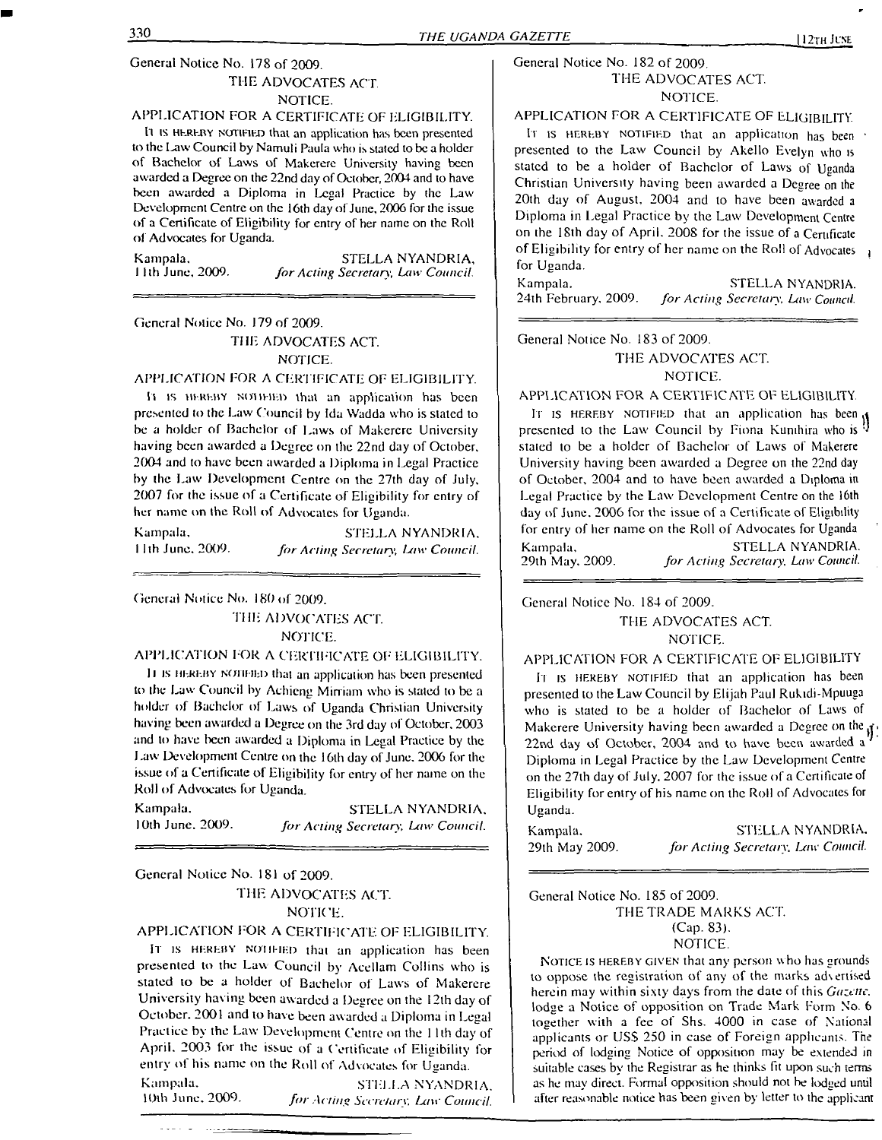#### General Notice No. 178 of 2009. THE ADVOCATES ACT NOTICE.

## APPLICATION FOR A CERTIFICATE OF ELIGIBILITY.

<sup>11</sup> is hereby notified that an application has been presented to the Law Council by Namuli Paula who is stated to be a holder of Bachelor of Laws of Makcrere University having been awarded a Degree on the 22nd day of October, 2004 and to have been awarded a Diploma in Legal Practice by the Law Development Centre on the 16th day of June, 2006 for the issue of a Certificate of Eligibility for entry of her name on the Roll of Advocates for Uganda.

Kampala. STELLA NYANDRIA,<br>11th June, 2009. *for Acting Secretary, Law Council.* <sup>1</sup> 1th June, 2009. *for Acting Secretary, Law Council.*

#### General Notice No. 179 of 2009. THE ADVOCATES ACT. NOTICE.

#### APPLICATION FOR A CERTIFICATE OF ELIGIBILITY.

<sup>11</sup> is hereby NtHlElED that an application has been presented to the Law Council by Ida Wadda who is slated to be a holder of Bachelor of Laws of Makerere University having been awarded a Degree on the 22nd day of October, 2004 and to have been awarded a Diploma in Legal Practice by the Law Development Centre on the 27th day of July, 2007 for the issue of a Certificate of Eligibility for entry of her name on the Roll of Advocates for Uganda.

Kampala, STELLA NYANDRIA, <sup>1</sup> <sup>I</sup> th June. 2009. *for Acting Secretary, Law Council.*

General Notice No. 180 of 2009.

THE ADVOCATES ACT. NOTICE.

APPLICATION FOR A CERTIFICATE OF ELIGIBILITY.

Il is hereby ncjhi-ied that an application has been presented to the Law Council by Achieng Minium who is staled to be a holder of Bachelor of Laws of Uganda Christian University having been awarded a Degree on the 3rd day of October. 2003 and to have been awarded a Diploma in Legal Practice by the Law Development Centre on the 16th day of June. 2006 for the issue of a Certificate of Eligibility for entry of her name on the Roll of Advocates for Uganda.

Kampala. STELLA NYANDRIA, <sup>I</sup> Oth June. 2009. *for Acting Secretary, Law Council.*

#### General Notice No. 181 of 2009. THE ADVOCATES ACT. NOTICE.

#### APPLICATION FOR A CERTIFICATE OF ELIGIBILITY.

It is HEREBY NOTIFIED that an application has been presented to the Law Council by Acellam Collins who is stated to be a holder of Bachelor of Laws of Makerere University having been awarded a Degree on the 12th day of October. 2001 and to have been awarded a Diploma in Legal Practice by the Law Development Centre on the <sup>1</sup> 1th day of April. 2003 for the issue of a Certificate of Eligibility for entry of his name on the Roll of Advocates for Uganda.

Kampala. STELLA NYANDRIA.<br>10th June, 2009. *For Acting Secretary Law Council* 10th June. 2009. *for Acting Secretary. Law Council.*

#### General Notice No. 182 of 2009. THE ADVOCATES ACT. NOTICE.

#### APPLICATION FOR A CERTIFICATE OF ELIGIBILITY.

It is HEREBY NOTIFIED that an application has been presented to the Law Council by Akello Evelyn who is stated to be a holder of Bachelor of Laws of Uganda Christian University having been awarded a Degree on the 20th day of August, 2004 and to have been awarded <sup>a</sup> Diploma in Legal Practice by the Law Development Centre on the 18th day of April. 2008 for the issue of a Certificate of Eligibility for entry of her name on the Roll of Advocates  $\frac{1}{4}$ for Uganda.

Kampala. STELLA NYANDRIA.<br>24th February, 2009. for Acting Secretary, Law Council. 24th February. 2009. *for Acting Secretary, Law Council.*

General Notice No. 183 of 2009.

#### THE ADVOCATES ACT. NOTICE.

#### APPLICATION FOR A CERTIFICATE OF ELIGIBILITY.

It is hereby notified that an application has been presented to the Law Council by Fiona Kumhira who is stated to be a holder of Bachelor of Laws of Makerere University having been awarded a Degree on the 22nd day of October, 2004 and to have been awarded a Diploma in Legal Practice by the Law Development Centre on the 16th day of June. 2006 for the issue of a Certificate of Eligibility for entry of her name on the Roll of Advocates for Uganda Kampala, STELLA NYANDRIA. 29th May, 2009. *for Acting Secretary. Law Council.*

General Notice No. 184 of 2009.

#### THE ADVOCATES ACT. NOTICE.

#### APPLICATION FOR A CERTIFICATE OF ELIGIBILITY

It is HEREBY NOTIFIED that an application has been presented to the Law Council by Elijah Paul Rukidi-Mpuuga who is stated to be a holder of Bachelor of Laws of Makerere University having been awarded a Degree on the  $\mathbf{f}$ 22nd day of October, 2004 and to have been awarded a Diploma in Legal Practice by the Law Development Centre on the 27th day of July. 2007 for the issue of a Certificate of Eligibility for entry of his name on the Roll of Advocates for Uganda.

Kampala. STELLA NYANDRIA. 29th May 2009. *for Acting Secretary. Law Council.*

General Notice No. 185 of 2009.

THE TRADE MARKS ACT. (Cap. 83). NOTICE.

Notice is hereby given that any person who has grounds to oppose the registration of any of the marks ad\ertised herein may within sixty days from the date of this *Gazette.* lodge a Notice of opposition on Trade Mark Form No. 6 together with a fee of Shs. 4000 in case of National applicants or USS 250 in case of Foreign applicants. The period of lodging Notice of opposition may be extended in suitable cases by the Registrar as he thinks fit upon such terms as he may direct. Forma! opposition should not be lodged until after reasonable notice has been given by letter to the applicant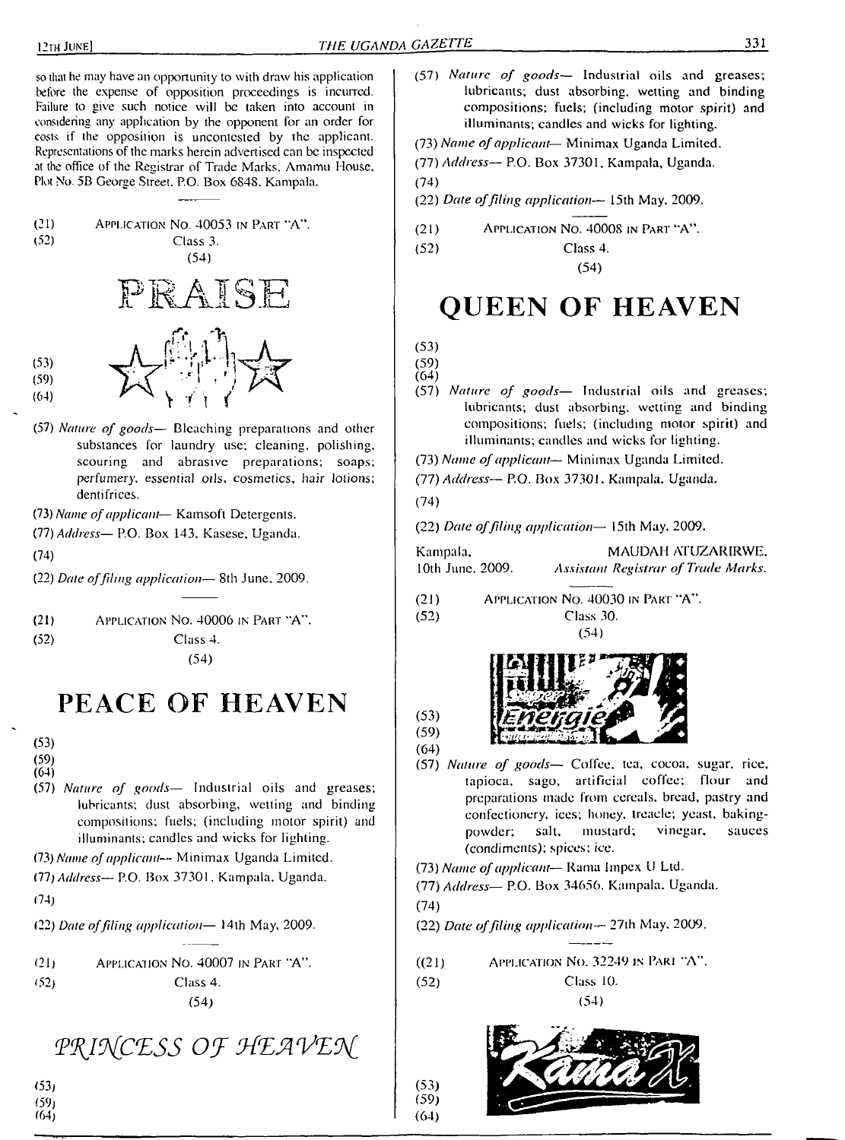so that he may have an opportunity to with draw his application before the expense of opposition proceedings is incurred. Failure to give such notice will be taken into account in considering any application by the opponent for an order for costs if the opposition is uncontested by the applicant. Representations of the marks herein advertised can be inspected at the office of the Registrar of Trade Marks. Amamu House. Plot No. 5B George Street. P.O. Box 6848. Kampala.



(57) *Nature of goods—* Bleaching preparations and other substances for laundry use; cleaning, polishing, scouring and abrasive preparations; soaps; *perfumery, essential oils, cosmetics, hair lotions;* dentifrices.

(73) *Name ofapplicant*— Kamsofl Detergents.

(77) *Address—* P.O. Box 143. Kasese, Uganda.

(74)

(22) *Date offiling application—* 8th June. 2009.

(21) Application No. 40006 in Part "A".

(52) Class 4.

(54)

# **PEACE OF HEAVEN**

(53)

(59)  $(64)$ 

(57) *Nature of goods—* Industrial oils and greases; lubricants; dust absorbing, wetting and binding compositions; fuels; (including motor spirit) and illuminants; candles and wicks for lighting.

(73) *Name ofapplicant—* Minimax Uganda Limited.

(77) *Address—* P.O. Box 37301. Kampala, Uganda. (74)

(22) *Date offiling application—* 14th May, 2009.

(21) Application No. 40007 in Part "A". (52) Class 4.

(54)

PRINCESS OF HEAVEN

- (57) *Nature of goods—* Industrial oils and greases; lubricants; dust absorbing, wetting and binding compositions; fuels; (including motor spirit) and illuminants; candles and wicks for lighting.
- (73) *Name ofapplicant—* Minimax Uganda Limited.

(77) *Address—* P.O. Box 37301, Kampala, Uganda.

(74)

- (22) *Date offiling application—* 15th May, 2009.
- (21) Application No. 40008 in Part "A".

(52) Class 4.

(54)

# **QUEEN OF HEAVEN**

(59)  $(64)$ 

- (57) *Nature of goods—* Industrial oils and greases; lubricants; dust absorbing, wetting and binding compositions; fuels; (including motor spirit) and illuminants; candles and wicks for lighting.
- (73) *Name ofapplicant* Minimax Uganda Limited.
- (77) *Address—* P.O. Box 37301, Kampala. Uganda.

(74)

(22) *Date offiling application—* 15th May, 2009.

| Kampala,         | <b>MAUDAH ATUZARIRWE.</b>           |
|------------------|-------------------------------------|
| 10th June, 2009. | Assistant Registrar of Trade Marks. |

(21) Application No. 40030 in Pari "A". (52) Class 30.





(59) (64)

(53)

- (57) *Nature of goods—* Coffee, tea, cocoa, sugar, rice, tapioca, sago, artificial coffee; flour and preparations made from cereals, bread, pastry and confectionery, ices; honey, treacle; yeast, bakingpowder; salt, mustard; vinegar, sauces (condiments); spices; ice.
- (73) *Name ofapplicant—* Rama linpex <sup>U</sup> Ltd.

(77) *Address—* P.O. Box 34656. Kampala. Uganda.

(74)

 $(53)$  $(59)$  $(64)$ 

(22) *Date offiling application—* 27th May. 2009.

 $((21)$  Application No. 32249 in Part "A".

(52) Class 10.

(54)



(53)  $(59)$ (64)

<sup>(53)</sup>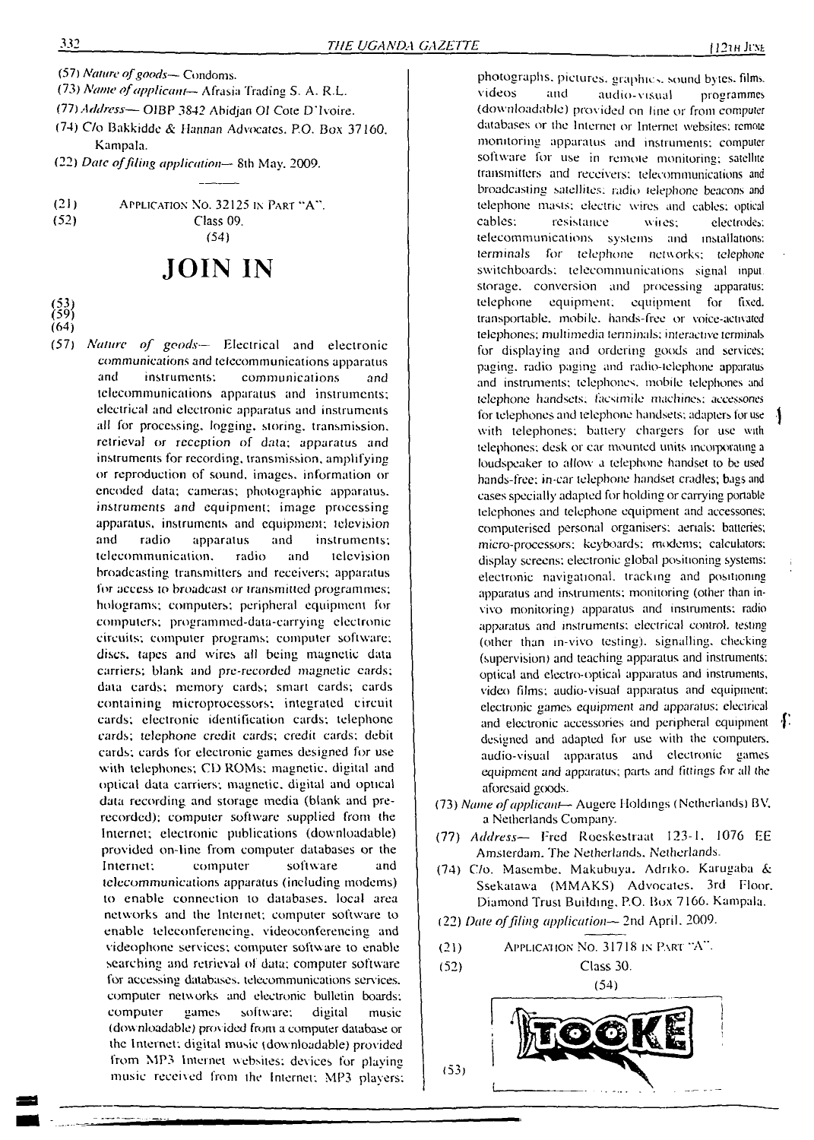- (57) *Nature ofgoods—* Condoms.
- (73) *Name ofapplicant—* Afrasia Trading S. A. R.E.
- (77) *Address— O1BP 3842* Abidjan Ol Cote D'Ivoire.
- (74) C/o Bakkidde & Hannan Advocates. P.O. Box 37160. Kampala.
- (22) *Date offding application—* Sth May. 2009.
- (21) Application No. 32125 in Part "A". (52) Class 09.

(54)

# **JOIN IN**

- 
- (64)
- (57) *Nature of goods—* Electrical and electronic communications and telecommunications apparatus and instruments: communications and telecommunications apparatus and instruments; electrical and electronic apparatus and instruments all for processing. logging, storing, transmission, retrieval or reception of data; apparatus and instruments for recording, transmission, amplifying or reproduction of sound, images, information or encoded data; cameras; photographic apparatus, instruments and equipment; image processing apparatus, instruments and equipment; television and radio apparatus and instruments; telecommunication. radio and television broadcasting transmitters and receivers; apparatus for access to broadcast or transmitted programmes; holograms; computers; peripheral equipment for computers; programmed-data-carrying electronic circuits; computer programs; computer software; discs, tapes and wires all being magnetic data carriers; blank and pre-recorded magnetic cards; data cards; memory cards; smart cards; cards containing microprocessors; integrated circuit cards; electronic identification cards; telephone cards; telephone credit cards; credit cards; debit cards; cards for electronic games designed for use with telephones; CD ROMs; magnetic, digital and optical data carriers; magnetic, digital and optical data recording and storage media (blank and prerecorded); computer software supplied from the Internet; electronic publications (downloadable) provided on-line from computer databases or the Internet; computer software and telecommunications apparatus (including modems) to enable connection to databases, local area networks and the Internet; computer software to enable teleconferencing, videoconferencing and videophone services; computer software to enable searching and retrieval of data; computer software for accessing databases, telecommunications services, computer networks and electronic bulletin boards; computer games software: digital music (dow nloadable) provided from a computer database or the Internet; digital music (downloadable) provided from MP3 Internet websites; devices for playing music received from lhe Internet: MP3 players:

photographs, pictures, graphics, sound bytes, films, videos and audio-visual programmes (downloadable) provided on line or from computer databases or the Internet or Internet websites; remote monitoring apparatus and instruments: computer software for use in remote monitoring; satellite transmitters and receivers; telecommunications and broadcasting satellites; radio telephone beacons and telephone masts; electric wires and cables; optical<br>cables; resistance wires: electrodes; resistance wires; electrodes; telecommunications systems and installations: terminals for telephone networks; telephone switchboards; telecommunications signal input storage, conversion and processing apparatus; telephone equipment, equipment for fixed, transportable, mobile, hands-free or voice-activated telephones; multimedia terminals; interactive terminals for displaying and ordering goods and services; paging, radio paging and radio-telephone apparatus and instruments; telephones, mobile telephones and telephone handsets, facsimile machines; accessories for telephones and telephone handsets; adapters for use with telephones; battery chargers for use with telephones; desk or car mounted units incorporating <sup>a</sup> loudspeaker to allow a telephone handset to be used hands-free; in-car telephone handsel cradles; bags and cases specially adapted for holding or carrying portable telephones and telephone equipment and accessones; computerised personal organisers; aerials; batteries; micro-processors; keyboards; modems; calculators; display screens: electronic global positioning systems: electronic navigational, tracking and positioning apparatus and instruments; monitoring (other than invivo monitoring) apparatus and instruments; radio apparatus and instruments; electrical control, testing (other than in-vivo testing), signalling, checking (supervision) and teaching apparatus and instruments; optical and electro-optical apparatus and instruments, video films; audio-visual apparatus and equipment; electronic games *equipment and* apparatus; electrical and electronic accessories and peripheral equipment designed and adapted for use with the computers, audio-visual apparatus and electronic games equipment and apparatus; parts and fittings for all the aforesaid goods.

- (73) *Name ofapplicant* Augere Holdings (Netherlands) BV. a Netherlands Company.
- (77) *Address—* Fred Roeskestraat 123-1. 1076 EE Amsterdam. The Netherlands. Netherlands.
- (74) C/o. Masembe. Makubuya. Adriko. Karugaba & Ssekatawa (MMAKS) Advocates. 3rd Floor. Diamond Trust Building. P.O. Box 7166. Kampala.
- (22) *Date offding application—* 2nd April. 2009.
- APPLICATION NO. 31718 IN PART "A".  $(21)$

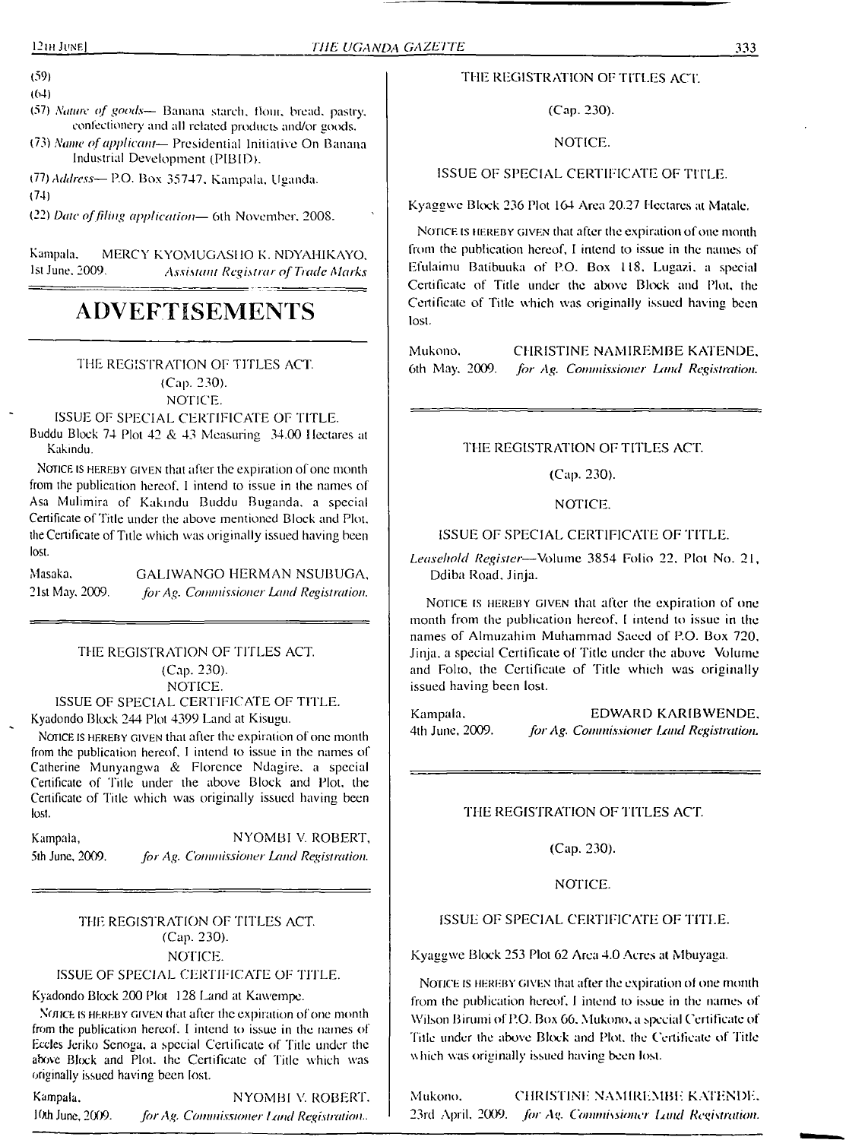(59)

(64)

- (57) *Nature of goods—* Banana starch. Hom. bread, pastry, confectionery and all related products and/or goods.
- (73) *Name ofapplicant—* Presidential Initiative On Banana Industrial Development (PIBID).
- (77) *Address—* P.O. Box 35747. Kampala. Uganda.

(74)

(22) *Date offiling application—* 6th November. 2008.

Kampala. MERCY KYOMUGASHO K. NDYAHIKAYO, 1st June, 2009. Assistant Registrar of Trade Marks 1st June. 2009. *Assistant Registrar ofTrade Marks*

# **ADVERTISEMENTS**

## THE REGISTRATION OF TITLES ACT. (Cap. 230).

NOTICE.

#### ISSUE OF SPECIAL CERTIFICATE OF TITLE.

Buddu Block 74 Plot 42 & 43 Measuring 34.00 Hectares at Kakindu.

NOTICE IS HEREBY GIVEN that after the expiration of one month from the publication hereof. <sup>1</sup> intend to issue in the names of Asa Mulimira of Kakindu Buddu Buganda. a special Certificate of Title under the above mentioned Block and Plot, the Certificate of Title which was originally issued having been lost.

| Masaka.         | GALIWANGO HERMAN NSUBUGA.               |
|-----------------|-----------------------------------------|
| 21st May, 2009. | for Ag. Commissioner Land Registration. |

## THE REGISTRATION OF TITLES ACT. (Cap. 230). NOTICE.

#### ISSUE OF SPECIAL CERTIFICATE OF TITLE. Kyadondo Block 244 Plot 4399 Land at Kisugu.

NOTICE IS HEREBY GIVEN that after the expiration of one month from the publication hereof. <sup>I</sup> intend to issue in the names of Catherine Munyangwa & Florence Ndagire. a special Certificate of Title under the above Block and Plot, the Certificate of Title which was originally issued having been lost.

Kampala, NYOMBI V. ROBERT, 5th June, 2009. *for Ag. Commissioner Land Registration.*

#### THE REGISTRATION OF TITLES ACT. (Cap. 230). NOTICE.

#### ISSUE OF SPECIAL CERTIFICATE OF TITLE.

Kyadondo Block 200 Plot 128 Land at Kawempe.

Notice is hereby given that after the expiration of one month from the publication hereof. I intend to issue in the names of Eccles Jeriko Scnoga, a special Certificate of Tide under the above Block and Plot, the Certificate of Title which was originally issued having been lost.

Kampala. NYOMBI V. ROBERT. 10th June, 2009. *for Ag. Commissioner Land Registration..* 

#### THE REGISTRATION OF TITLES ACT.

(Cap. 230).

#### NOTICE.

#### ISSUE OF SPECIAL CERTIFICATE OF TITLE.

Kyaggwc Block 236 Plot 164 Area 20.27 Hectares al Matale.

Notice is hereby given that after the expiration of one month from the publication hereof, I intend to issue in the names of Efulaimu Batibuuka of P.O. Box 118, Lugazi, a special Certificate of Title under the above Block and Plot, the Certificate of Title which was originally issued having been lost.

Mukono. CHRISTINE NAMIREMBE KATENDE. 6th May. 2009. *for Ag. Commissioner Land Registration.*

THE REGISTRATION OF TITLES ACT.

(Cap. 230).

NOTICE.

#### ISSUE OF SPECIAL CERTIFICATE OF TITLE.

*Leasehold Register—*Volume 3854 Folio 22. Plot No. 21, Ddiba Road. Jinja.

Notice is hereby given that after the expiration of one month from the publication hereof. <sup>I</sup> intend to issue in the names of Almuzahim Muhammad Saeed of P.O. Box 720, Jinja, a special Certificate of Title under the above Volume and Folio, the Certificate of Title which was originally issued having been lost.

Kampala. EDWARD KARIBWENDE. 4th June, 2009. *for Ag. Commissioner Umd Registration.*

#### THE REGISTRATION OF TITLES ACT.

(Cap. 230).

#### NOTICE.

#### ISSUE OF SPECIAL CERTIFICATE OF TITLE.

Kyaggwe Block 253 Plot 62 Area 4.0 Acres at Mbuyaga.

Notice is hereby given that after the expiration of one month from the publication hereof, <sup>1</sup> intend to issue in the names of Wilson Birumi of P.O. Box 66. Mukono. a special Certificate of Title under the above Block and Plot, the Certificate of Title which was originally issued having been lost.

Mukono. CHRISTINE NAMIREMBE KATENDE. 23rd April. 2009. *for Ag. Commissioner Gmd Registration.*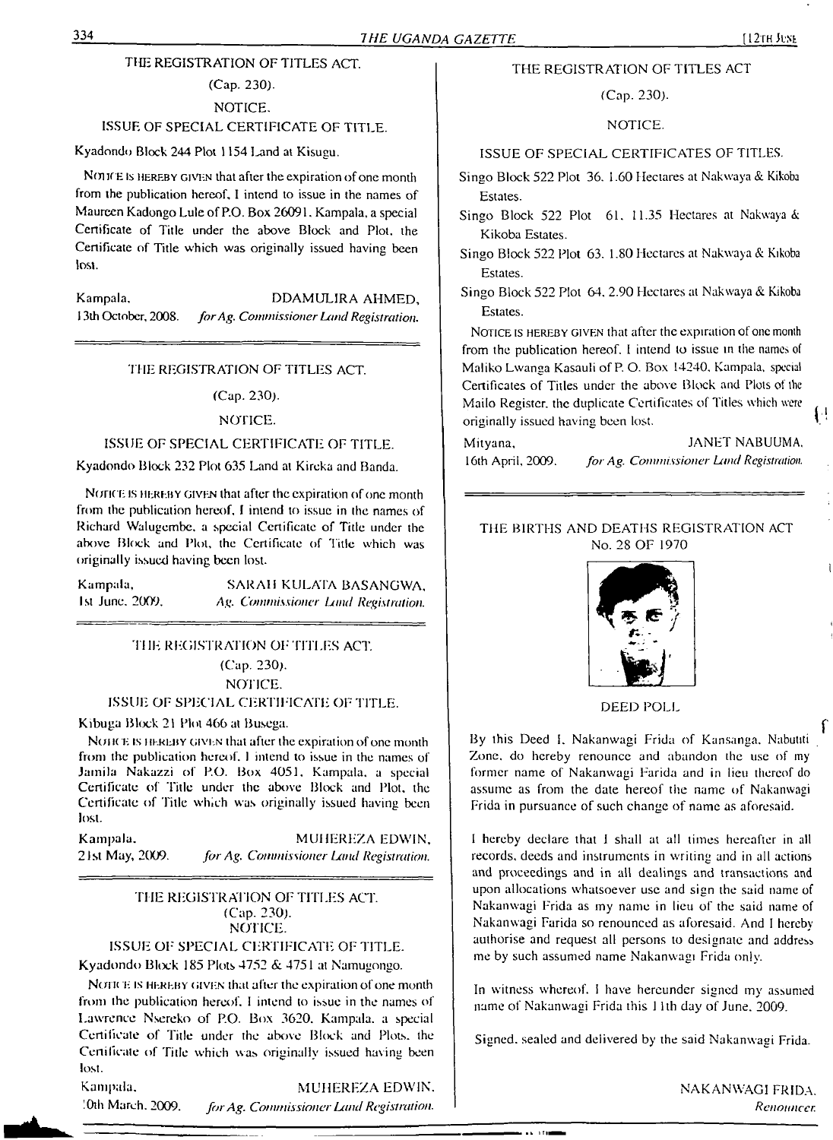#### THE REGISTRATION OF TITLES ACT.

## (Cap. 230).

NOTICE.

## ISSUE OF SPECIAL CERTIFICATE OF TITLE.

Kyadondo Block 244 Plot 1154 Land at Kisugu.

NOTICE IS HEREBY GIVEN that after the expiration of one month from the publication hereof, I intend to issue in the names of Maureen Kadongo Lule ofP.O. Box 26091. Kampala, a special Certificate of Title under the above Block and Plot, the Certificate of Title which was originally issued having been lost.

Kampala, DDAMULIRA AHMED, 13lh October, 2008. *forAg. Commissioner LandRegistration.*

#### THE REGISTRATION OF TITLES ACT.

(Cap. 230).

#### NOTICE.

#### ISSUE OF SPECIAL CERTIFICATE OF TITLE.

Kyadondo Block 232 Plot 635 Land at Kircka and Banda.

NOTICE IS HEREBY GIVEN that after the expiration of one month from the publication hereof, <sup>I</sup> intend to issue in the names of Richard Walugembe, a special Certificate of Title under the above Block and Plot, the Certificate of Title which was originally issued having been lost.

| Kampala,        | SARAH KULATA BASANGWA.              |
|-----------------|-------------------------------------|
| 1st June, 2009. | Ag. Commissioner Land Registration. |

#### THE REGISTRATION OF TITLES ACT. (Cap. 230). NOTICE.

#### ISSUE OF SPECIAL CERTIFICATE OF TITLE.

Kibuga Block 21 Plot 466 at Busega.

NOH(E is HEREBY GIVEN that after the expiration of one month from the publication hereof. <sup>1</sup> intend to issue in the names of Jamila Nakazzi of P.O. Box 4051, Kampala, a special Certificate of Title under the above Block and Plot, the Certificate of Title which was originally issued having been lost.

Kampala, MUHEREZA EDWIN, 21st May, 2009. *for Ag. Commissioner Land Registration.*

#### THE REGISTRATION OF TITLES ACT. (Cap. 230). NOTICE.

ISSUE OF' SPECIAL CERTIFICATE OF TITLE. Kyadondo Block 185 Plots 4752 & 4751 at Namugongo.

NOTICE IS HEREBY GIVEN that after the expiration of one month from the publication hereof. <sup>I</sup> intend to issue in the names of Lawrence Nsereko of P.O. Box 3620. Kampala, a special Certificate of Title under the above Block and Plots, the Certificate of Title which was originally issued having been lost.

Kampala. :0th March. 2009. MUHEREZA EDWIN. *forAg. Commissioner Land Registration.*

#### THE REGISTRATION OF TITLES ACT

(Cap. 230).

#### NOTICE.

#### ISSUE OF SPECIAL CERTIFICATES OF TITLES.

Singo Block 522 Plot 36. 1.60 Hectares at Nakwaya & Kikoba Estates.

- Singo Block 522 Plot 61. 11.35 Hectares at Nakwaya & Kikoba Estates.
- Singo Block 522 Plot 63. 1.80 Hectares at Nakwaya & Kikoba Estates.
- Singo Block 522 Plot 64. 2.90 Hectares al Nakwaya & Kikoba Estates.

NOTICE IS HEREBY GIVEN that after the expiration of one month from the publication hereof. <sup>I</sup> intend lo issue in the names of Maliko Lwanga Kasauli of P. O. Box 14240. Kampala, special Certificates of Titles under the above Block and Plots of the Mailo Register, the duplicate Certificates of Titles which were originally issued having been lost.

Mityana, JANET NABUUMA,

#### THE BIRTHS AND DEATHS REGISTRATION ACT No. 28 OF 1970



DEED POLL

By this Deed I. Nakanwagi Frida of Kansanga. Nabutiti Zone, do hereby renounce and abandon the use of my former name of Nakanwagi Farida and in lieu thereof do assume as from the date hereof the name of Nakanwagi Frida in pursuance of such change of name as aforesaid.

<sup>I</sup> hereby declare that I shall at all times hereafter in all records, deeds and instruments in writing and in all actions and proceedings and in all dealings and transactions and upon allocations whatsoever use and sign the said name of Nakanwagi Frida as my name in lieu of the said name of Nakanwagi Farida so renounced as aforesaid. And <sup>I</sup> hereby authorise and request all persons to designate and address me by such assumed name Nakanwagi Frida only.

In witness whereof. <sup>I</sup> have hereunder signed my assumed name of Nakanwagi Frida this 11th day of June. 2009.

Signed, sealed and delivered by the said Nakanwagi Frida.

 $\sim 10$ 

NAKANWAGI FRIDA. *Renonncer.*

{⊹

16th April, 2009. *forAg. Commissioner Land Registration.*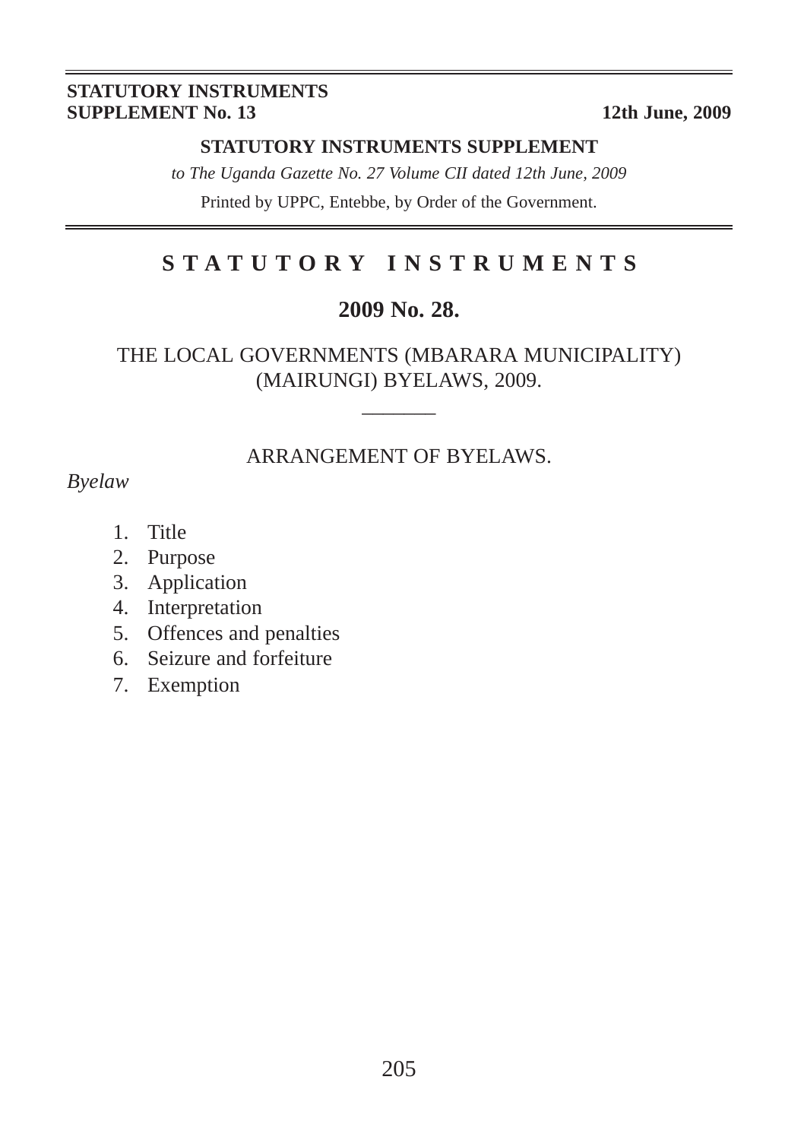#### **STATUTORY INSTRUMENTS SUPPLEMENT No. 13** 12th June, 2009

#### **STATUTORY INSTRUMENTS SUPPLEMENT**

*to The Uganda Gazette No. 27 Volume CII dated 12th June, 2009* Printed by UPPC, Entebbe, by Order of the Government.

## **STATUTORY INSTRUMENTS**

#### **2009 No. 28.**

#### THE LOCAL GOVERNMENTS (MBARARA MUNICIPALITY) (MAIRUNGI) BYELAWS, 2009.

 $\overline{\phantom{a}}$ 

#### ARRANGEMENT OF BYELAWS.

*Byelaw*

- 1. Title
- 2. Purpose
- 3. Application
- 4. Interpretation
- 5. Offences and penalties
- 6. Seizure and forfeiture
- 7. Exemption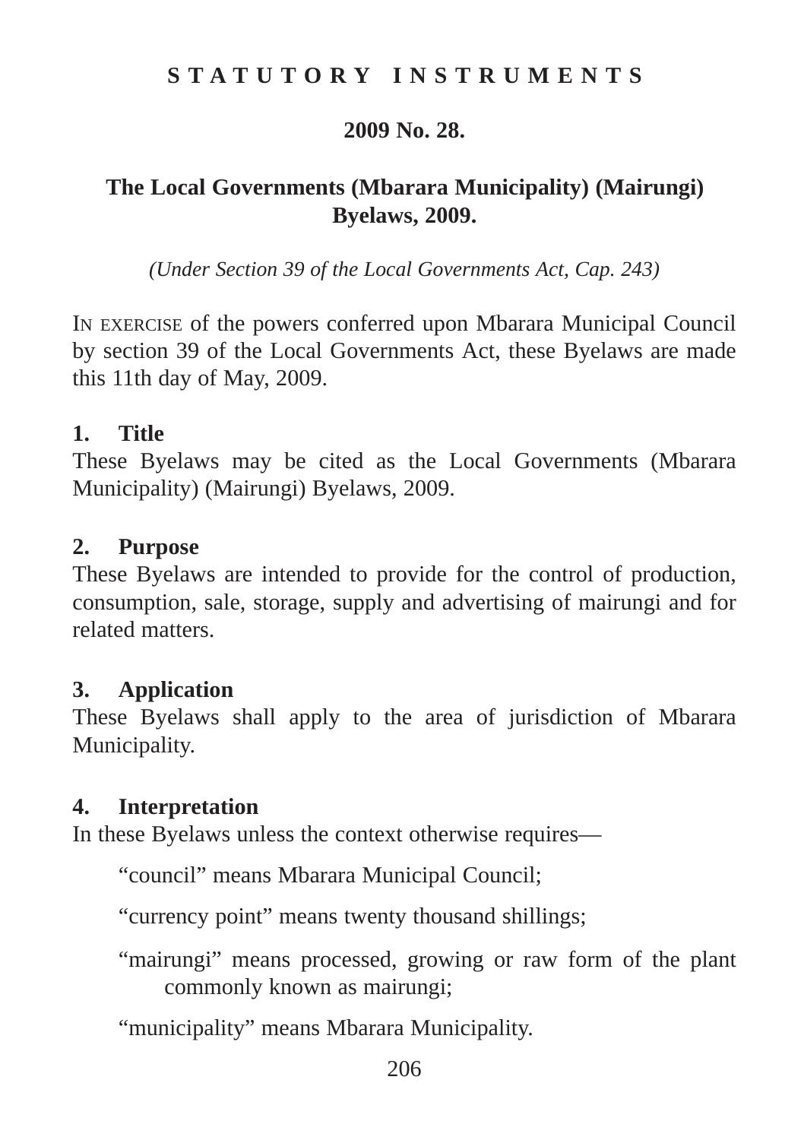## **STATUTORY INSTRUMENTS**

#### **2009 No. 28.**

## **The Local Governments (Mbarara Municipality) (Mairungi) Byelaws, 2009.**

*(Under Section 39 of the Local Governments Act, Cap. 243)*

IN EXERCISE of the powers conferred upon Mbarara Municipal Council by section 39 of the Local Governments Act, these Byelaws are made this 11th day of May, 2009.

#### **1. Title**

These Byelaws may be cited as the Local Governments (Mbarara Municipality) (Mairungi) Byelaws, 2009.

#### **2. Purpose**

These Byelaws are intended to provide for the control of production, consumption, sale, storage, supply and advertising of mairungi and for related matters.

## **3. Application**

These Byelaws shall apply to the area of jurisdiction of Mbarara Municipality.

## **4. Interpretation**

In these Byelaws unless the context otherwise requires—

"council" means Mbarara Municipal Council;

"currency point" means twenty thousand shillings;

"mairungi" means processed, growing or raw form of the plant commonly known as mairungi;

"municipality" means Mbarara Municipality.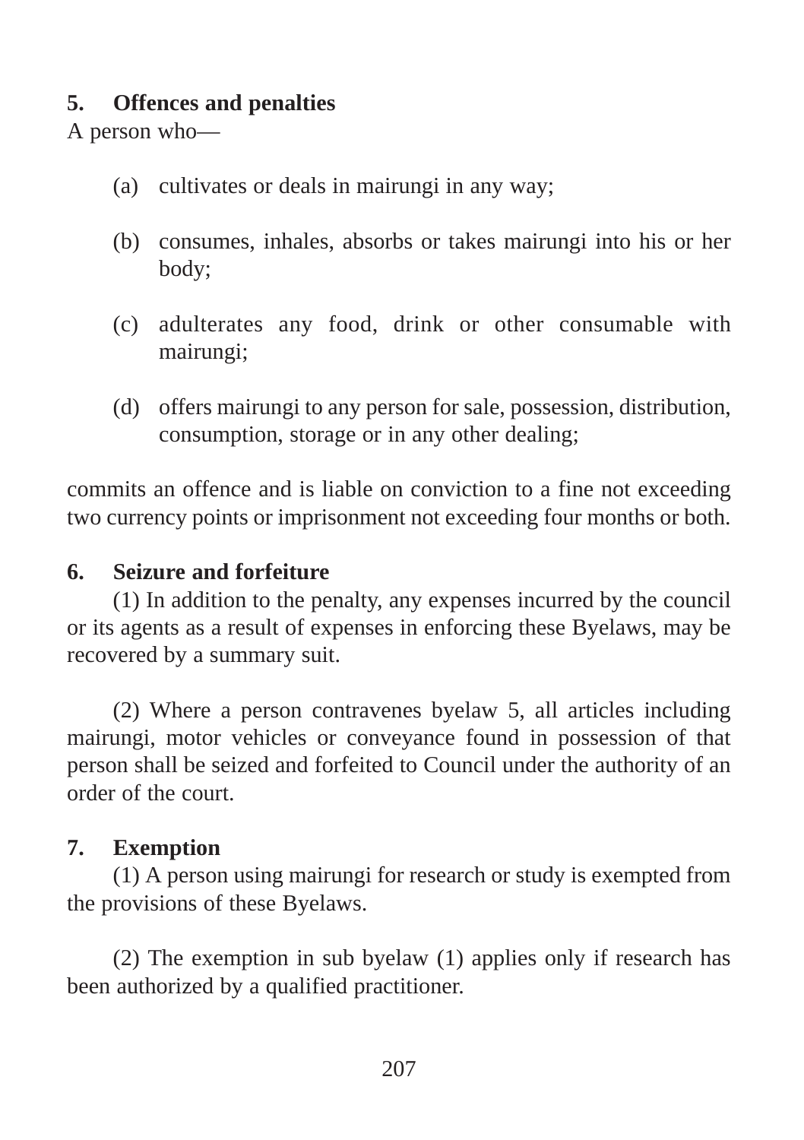## **5. Offences and penalties**

A person who—

- (a) cultivates or deals in mairungi in any way;
- (b) consumes, inhales, absorbs or takes mairungi into his or her body;
- (c) adulterates any food, drink or other consumable with mairungi;
- (d) offers mairungi to any person for sale, possession, distribution, consumption, storage or in any other dealing;

commits an offence and is liable on conviction to a fine not exceeding two currency points or imprisonment not exceeding four months or both.

## **6. Seizure and forfeiture**

(1) In addition to the penalty, any expenses incurred by the council or its agents as a result of expenses in enforcing these Byelaws, may be recovered by a summary suit.

(2) Where a person contravenes byelaw 5, all articles including mairungi, motor vehicles or conveyance found in possession of that person shall be seized and forfeited to Council under the authority of an order of the court.

## **7. Exemption**

(1) A person using mairungi for research or study is exempted from the provisions of these Byelaws.

(2) The exemption in sub byelaw (1) applies only if research has been authorized by a qualified practitioner.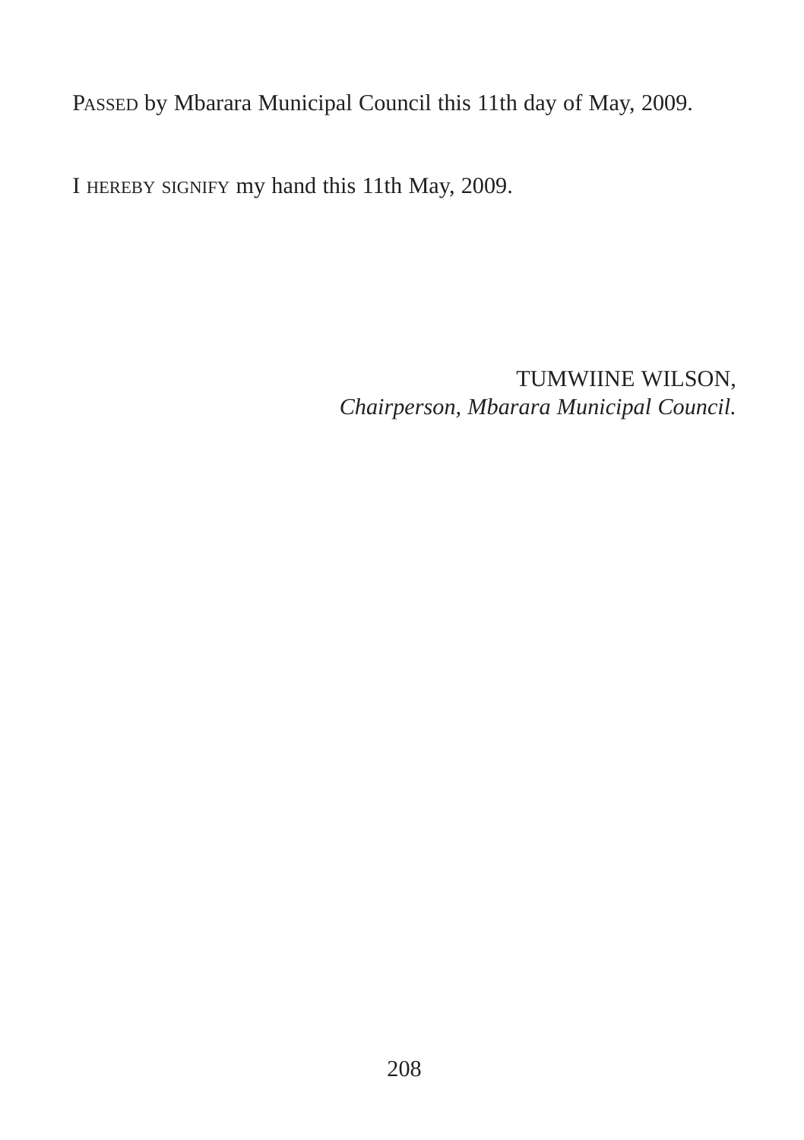PASSED by Mbarara Municipal Council this 11th day of May, 2009.

I HEREBY SIGNIFY my hand this 11th May, 2009.

TUMWIINE WILSON, *Chairperson, Mbarara Municipal Council.*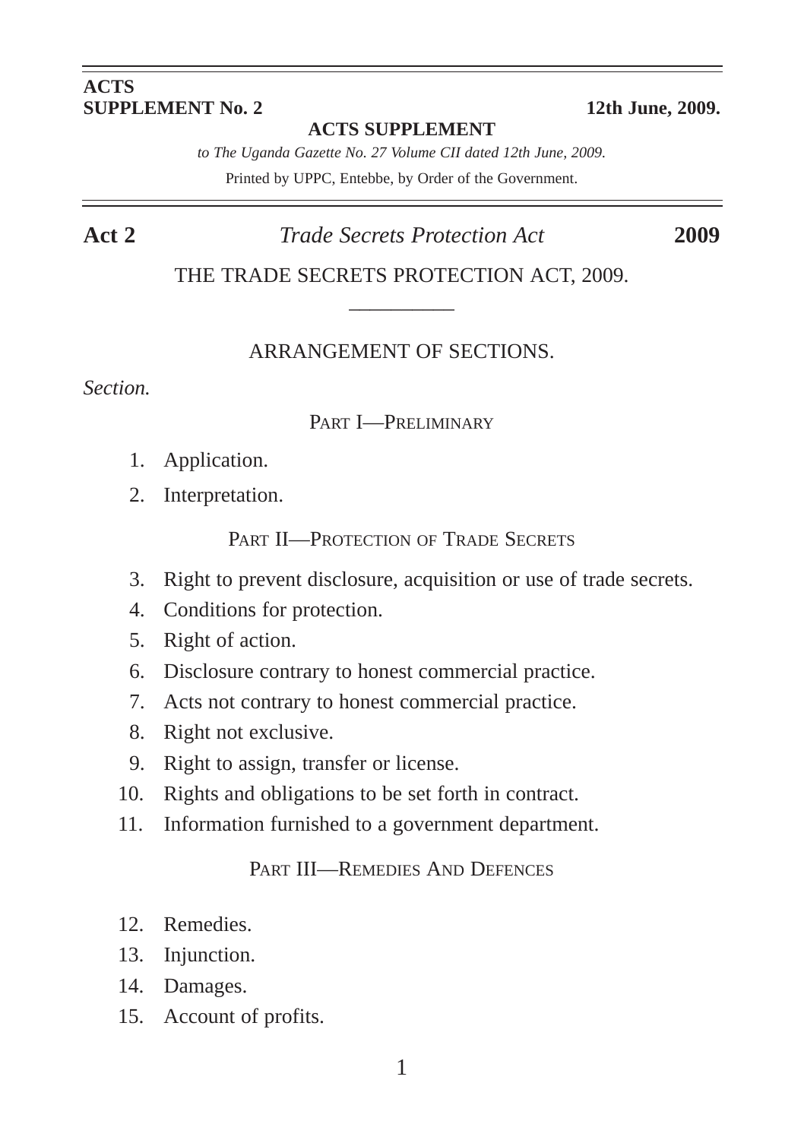#### **ACTS SUPPLEMENT No. 2** 12th June, 2009.

**ACTS SUPPLEMENT**

*to The Uganda Gazette No. 27 Volume CII dated 12th June, 2009.* Printed by UPPC, Entebbe, by Order of the Government.

#### **Act 2** *Trade Secrets Protection Act* **2009**

THE TRADE SECRETS PROTECTION ACT, 2009.  $\overline{\phantom{a}}$ 

#### ARRANGEMENT OF SECTIONS.

*Section.*

#### PART I—PRELIMINARY

- 1. Application.
- 2. Interpretation.

PART II—PROTECTION OF TRADE SECRETS

- 3. Right to prevent disclosure, acquisition or use of trade secrets.
- 4. Conditions for protection.
- 5. Right of action.
- 6. Disclosure contrary to honest commercial practice.
- 7. Acts not contrary to honest commercial practice.
- 8. Right not exclusive.
- 9. Right to assign, transfer or license.
- 10. Rights and obligations to be set forth in contract.
- 11. Information furnished to a government department.

#### PART III—REMEDIES AND DEFENCES

- 12. Remedies.
- 13. Injunction.
- 14. Damages.
- 15. Account of profits.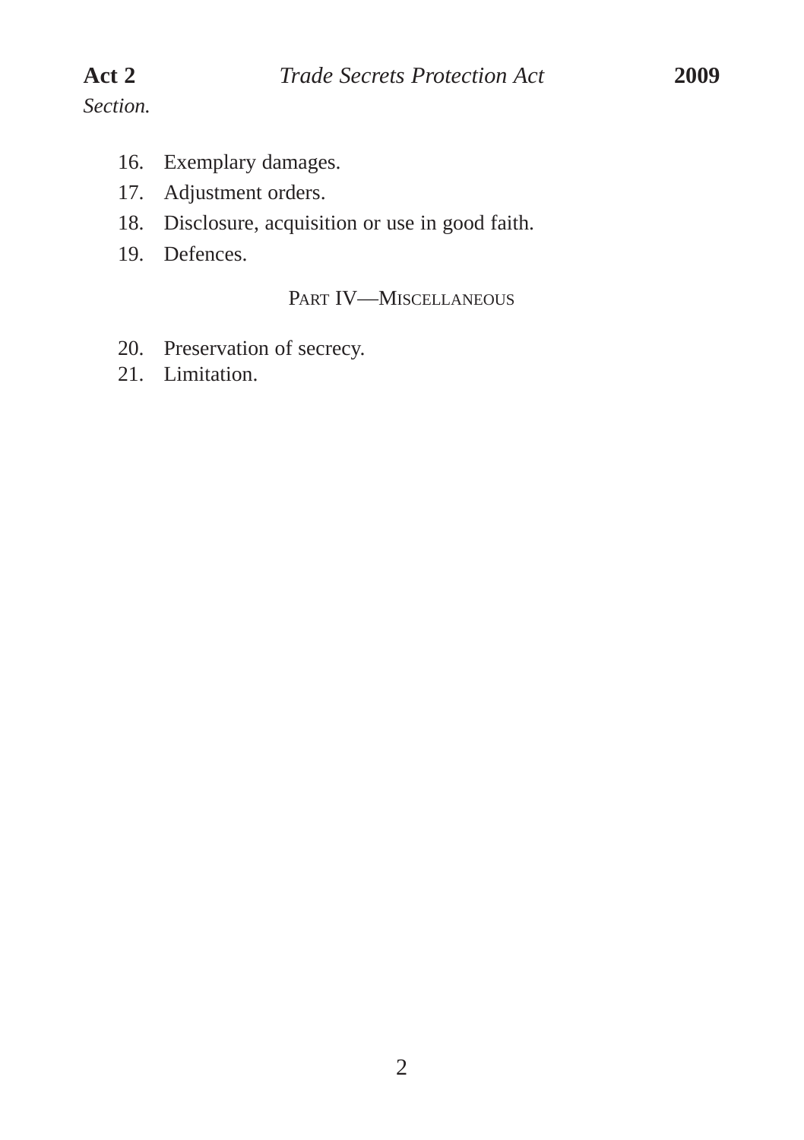- 16. Exemplary damages.
- 17. Adjustment orders.
- 18. Disclosure, acquisition or use in good faith.
- 19. Defences.

#### PART IV—MISCELLANEOUS

- 20. Preservation of secrecy.
- 21. Limitation.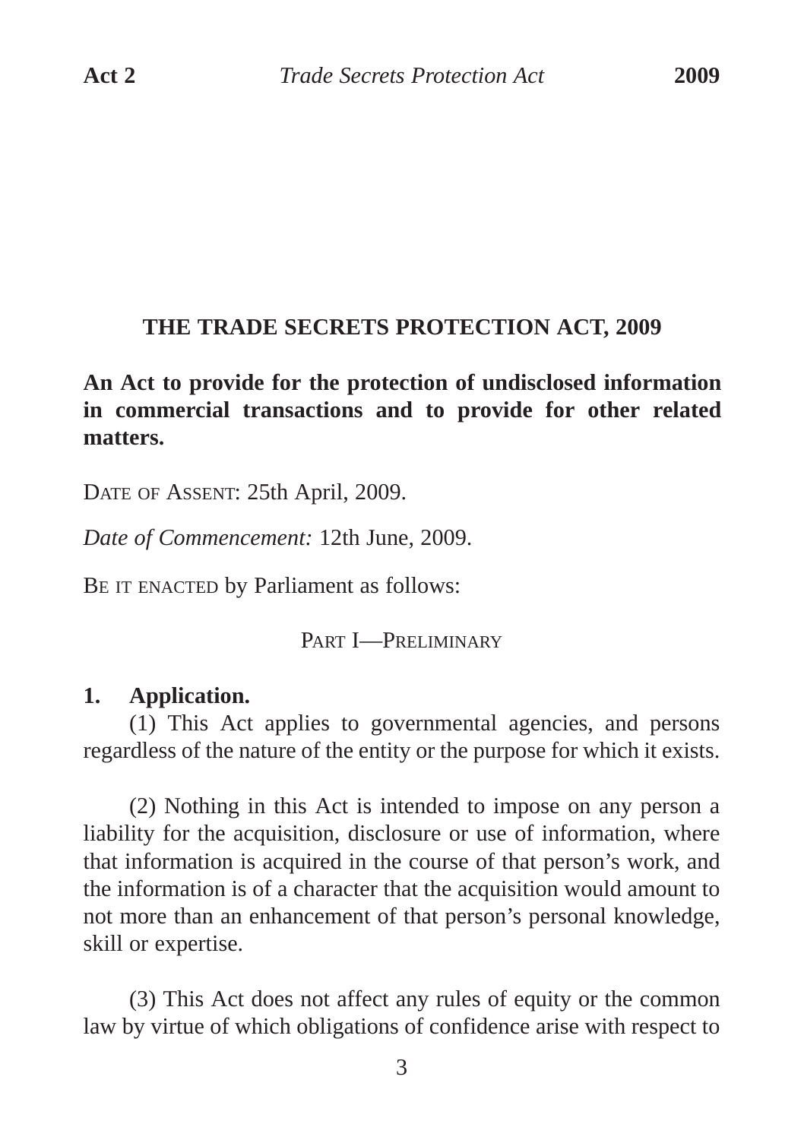#### **THE TRADE SECRETS PROTECTION ACT, 2009**

**An Act to provide for the protection of undisclosed information in commercial transactions and to provide for other related matters.**

DATE OF ASSENT: 25th April, 2009.

*Date of Commencement:* 12th June, 2009.

BE IT ENACTED by Parliament as follows:

PART **I**-PRELIMINARY

## **1. Application.**

(1) This Act applies to governmental agencies, and persons regardless of the nature of the entity or the purpose for which it exists.

(2) Nothing in this Act is intended to impose on any person a liability for the acquisition, disclosure or use of information, where that information is acquired in the course of that person's work, and the information is of a character that the acquisition would amount to not more than an enhancement of that person's personal knowledge, skill or expertise.

(3) This Act does not affect any rules of equity or the common law by virtue of which obligations of confidence arise with respect to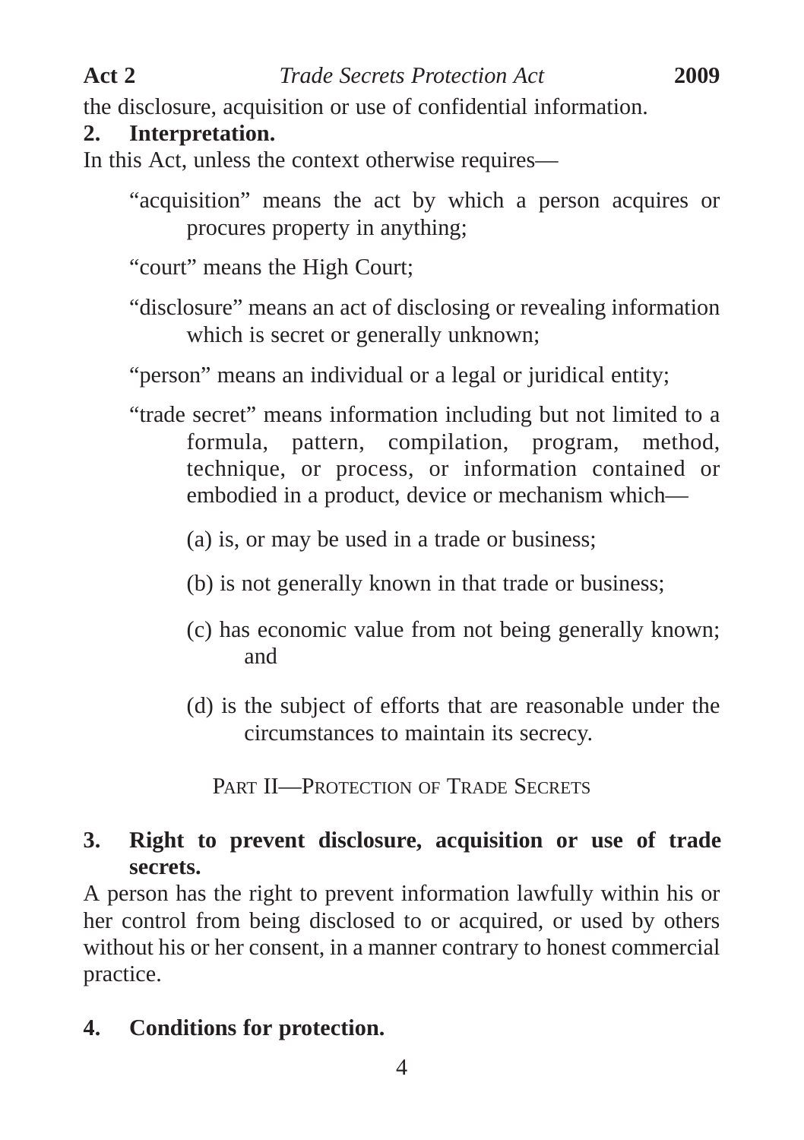the disclosure, acquisition or use of confidential information.

## **2. Interpretation.**

In this Act, unless the context otherwise requires—

- "acquisition" means the act by which a person acquires or procures property in anything;
- "court" means the High Court;
- "disclosure" means an act of disclosing or revealing information which is secret or generally unknown;

"person" means an individual or a legal or juridical entity;

- "trade secret" means information including but not limited to a formula, pattern, compilation, program, method, technique, or process, or information contained or embodied in a product, device or mechanism which—
	- (a) is, or may be used in a trade or business;
	- (b) is not generally known in that trade or business;
	- (c) has economic value from not being generally known; and
	- (d) is the subject of efforts that are reasonable under the circumstances to maintain its secrecy.

PART II—PROTECTION OF TRADE SECRETS

## **3. Right to prevent disclosure, acquisition or use of trade secrets.**

A person has the right to prevent information lawfully within his or her control from being disclosed to or acquired, or used by others without his or her consent, in a manner contrary to honest commercial practice.

**4. Conditions for protection.**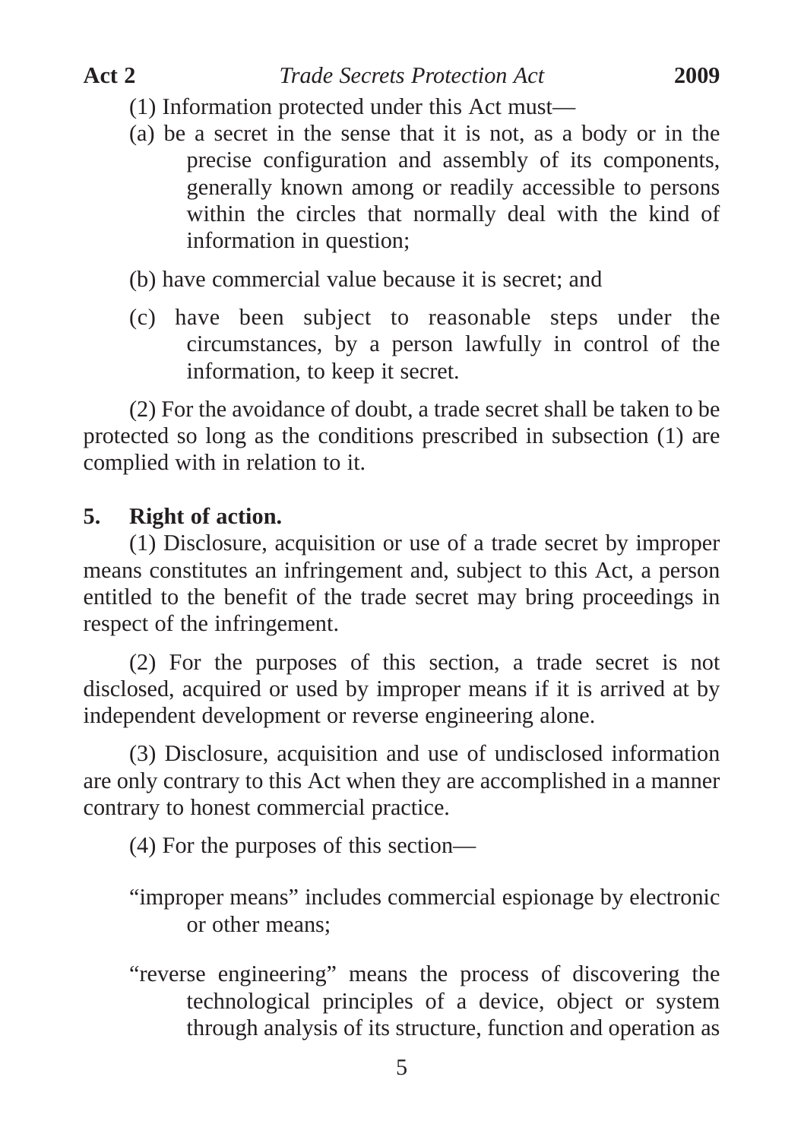- (1) Information protected under this Act must—
- (a) be a secret in the sense that it is not, as a body or in the precise configuration and assembly of its components, generally known among or readily accessible to persons within the circles that normally deal with the kind of information in question;

(b) have commercial value because it is secret; and

(c) have been subject to reasonable steps under the circumstances, by a person lawfully in control of the information, to keep it secret.

(2) For the avoidance of doubt, a trade secret shall be taken to be protected so long as the conditions prescribed in subsection (1) are complied with in relation to it.

#### **5. Right of action.**

(1) Disclosure, acquisition or use of a trade secret by improper means constitutes an infringement and, subject to this Act, a person entitled to the benefit of the trade secret may bring proceedings in respect of the infringement.

(2) For the purposes of this section, a trade secret is not disclosed, acquired or used by improper means if it is arrived at by independent development or reverse engineering alone.

(3) Disclosure, acquisition and use of undisclosed information are only contrary to this Act when they are accomplished in a manner contrary to honest commercial practice.

(4) For the purposes of this section—

"improper means" includes commercial espionage by electronic or other means;

"reverse engineering" means the process of discovering the technological principles of a device, object or system through analysis of its structure, function and operation as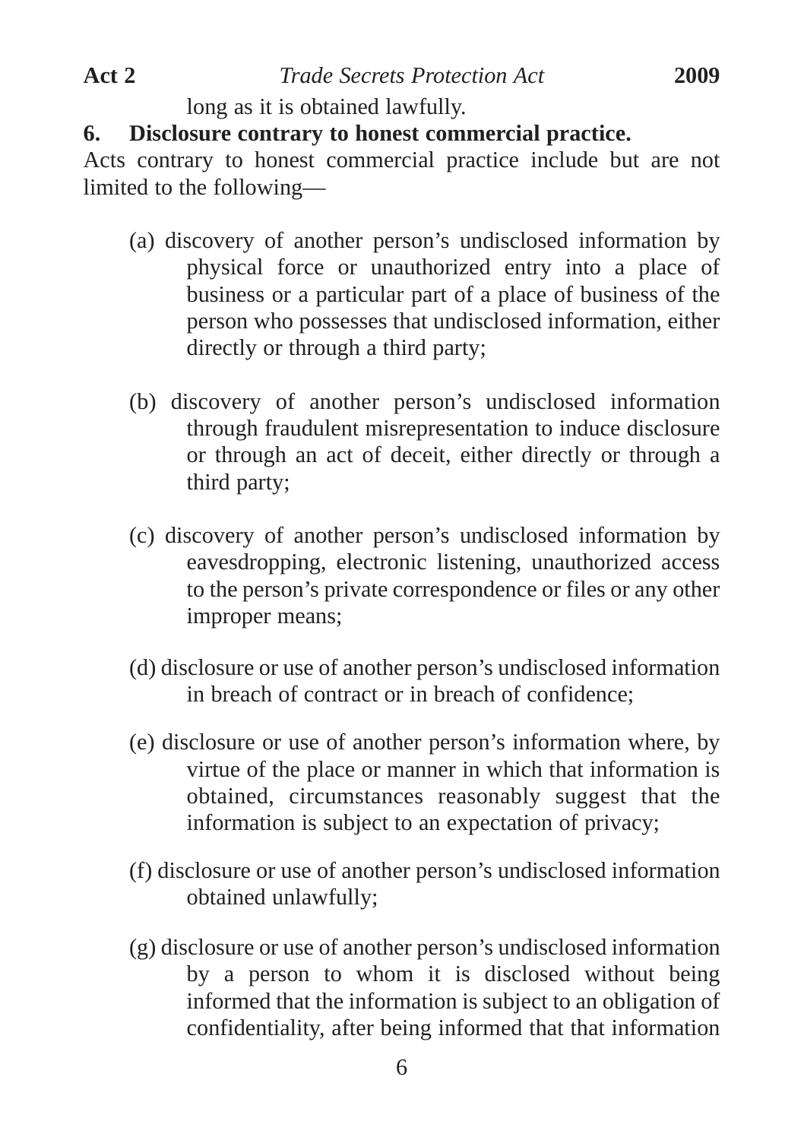long as it is obtained lawfully.

## **6. Disclosure contrary to honest commercial practice.**

Acts contrary to honest commercial practice include but are not limited to the following—

- (a) discovery of another person's undisclosed information by physical force or unauthorized entry into a place of business or a particular part of a place of business of the person who possesses that undisclosed information, either directly or through a third party;
- (b) discovery of another person's undisclosed information through fraudulent misrepresentation to induce disclosure or through an act of deceit, either directly or through a third party;
- (c) discovery of another person's undisclosed information by eavesdropping, electronic listening, unauthorized access to the person's private correspondence or files or any other improper means;
- (d) disclosure or use of another person's undisclosed information in breach of contract or in breach of confidence;
- (e) disclosure or use of another person's information where, by virtue of the place or manner in which that information is obtained, circumstances reasonably suggest that the information is subject to an expectation of privacy;
- (f) disclosure or use of another person's undisclosed information obtained unlawfully;
- (g) disclosure or use of another person's undisclosed information by a person to whom it is disclosed without being informed that the information is subject to an obligation of confidentiality, after being informed that that information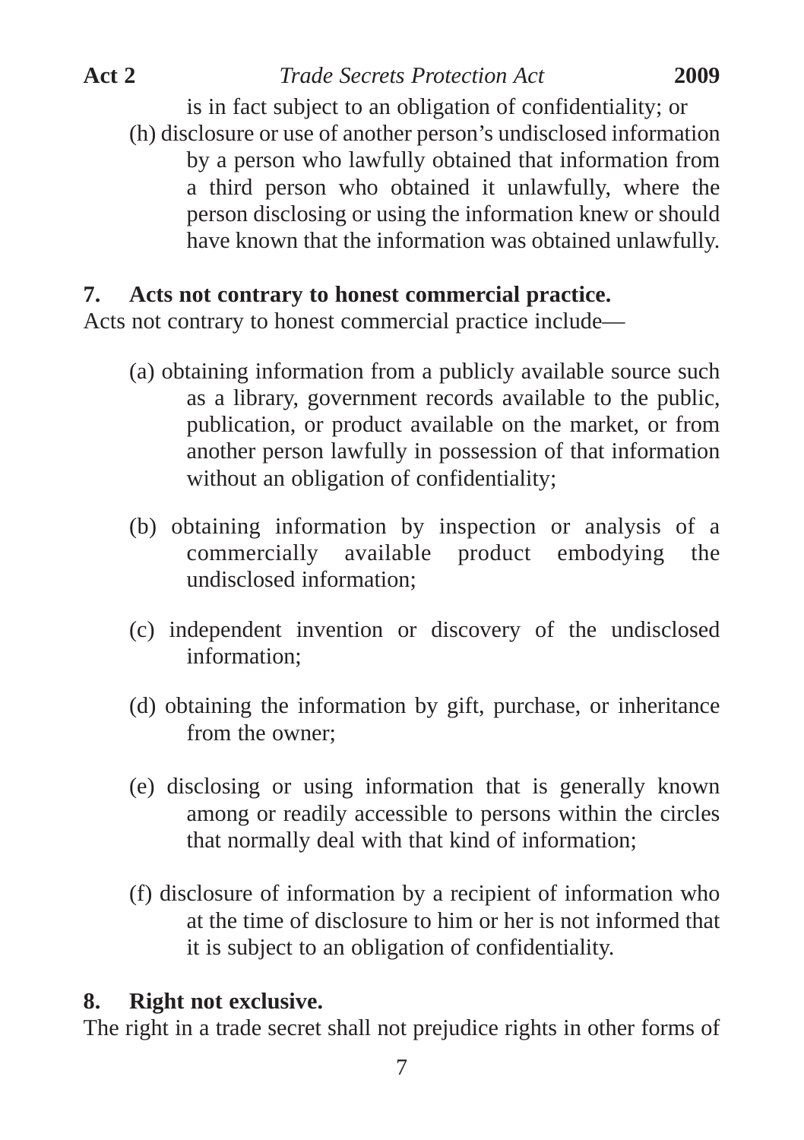**Act 2** *Trade Secrets Protection Act* **2009**

is in fact subject to an obligation of confidentiality; or (h) disclosure or use of another person's undisclosed information by a person who lawfully obtained that information from a third person who obtained it unlawfully, where the person disclosing or using the information knew or should have known that the information was obtained unlawfully.

## **7. Acts not contrary to honest commercial practice.**

Acts not contrary to honest commercial practice include—

- (a) obtaining information from a publicly available source such as a library, government records available to the public, publication, or product available on the market, or from another person lawfully in possession of that information without an obligation of confidentiality;
- (b) obtaining information by inspection or analysis of a commercially available product embodying the undisclosed information;
- (c) independent invention or discovery of the undisclosed information;
- (d) obtaining the information by gift, purchase, or inheritance from the owner;
- (e) disclosing or using information that is generally known among or readily accessible to persons within the circles that normally deal with that kind of information;
- (f) disclosure of information by a recipient of information who at the time of disclosure to him or her is not informed that it is subject to an obligation of confidentiality.

## **8. Right not exclusive.**

The right in a trade secret shall not prejudice rights in other forms of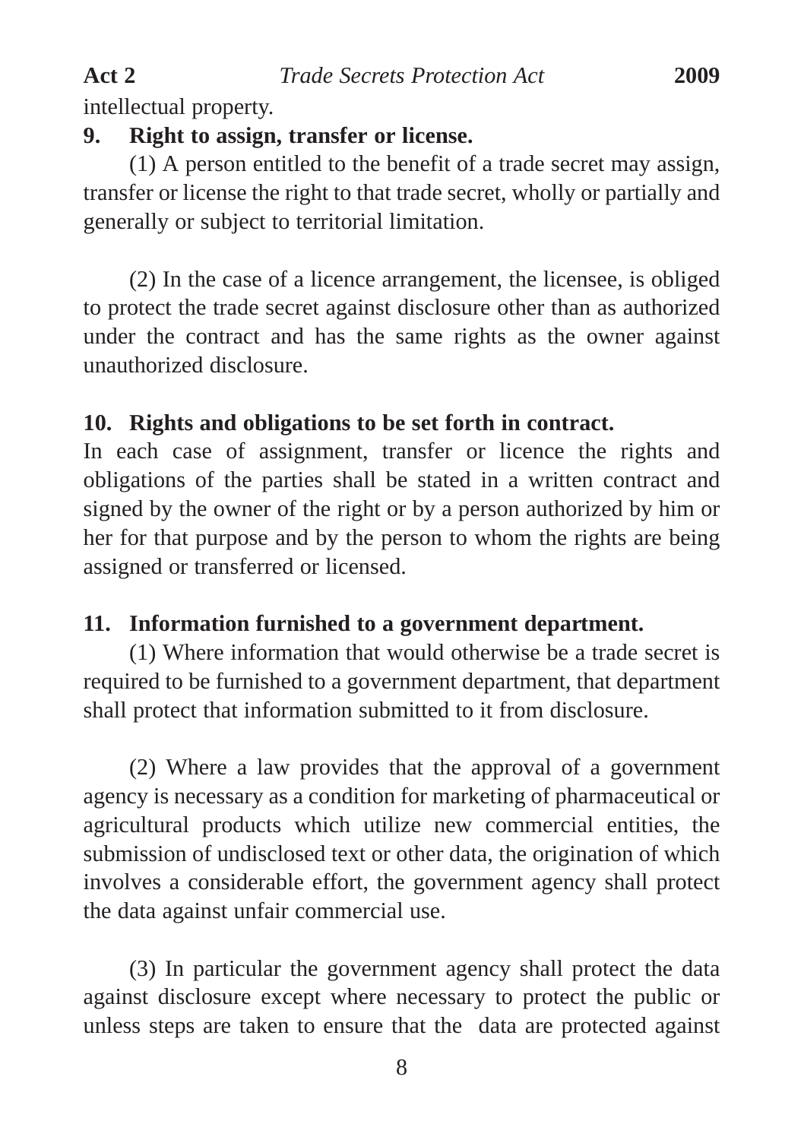intellectual property.

## **9. Right to assign, transfer or license.**

(1) A person entitled to the benefit of a trade secret may assign, transfer or license the right to that trade secret, wholly or partially and generally or subject to territorial limitation.

(2) In the case of a licence arrangement, the licensee, is obliged to protect the trade secret against disclosure other than as authorized under the contract and has the same rights as the owner against unauthorized disclosure.

## **10. Rights and obligations to be set forth in contract.**

In each case of assignment, transfer or licence the rights and obligations of the parties shall be stated in a written contract and signed by the owner of the right or by a person authorized by him or her for that purpose and by the person to whom the rights are being assigned or transferred or licensed.

## **11. Information furnished to a government department.**

(1) Where information that would otherwise be a trade secret is required to be furnished to a government department, that department shall protect that information submitted to it from disclosure.

(2) Where a law provides that the approval of a government agency is necessary as a condition for marketing of pharmaceutical or agricultural products which utilize new commercial entities, the submission of undisclosed text or other data, the origination of which involves a considerable effort, the government agency shall protect the data against unfair commercial use.

(3) In particular the government agency shall protect the data against disclosure except where necessary to protect the public or unless steps are taken to ensure that the data are protected against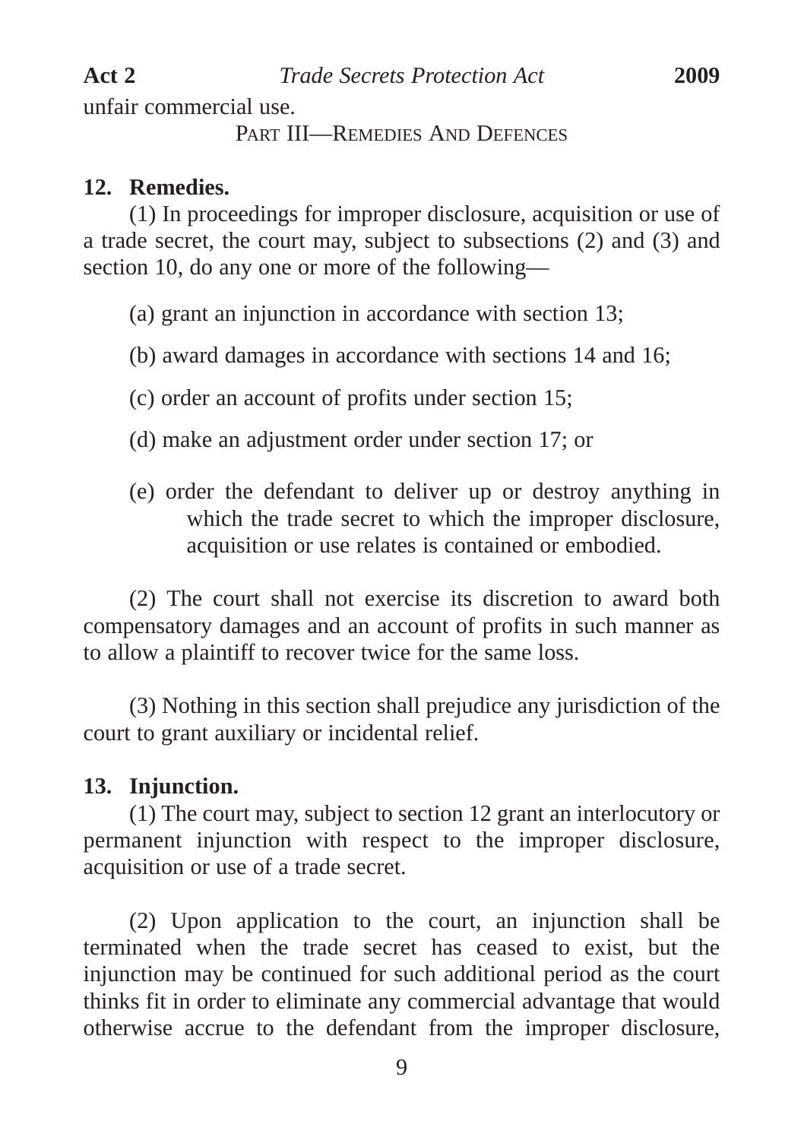unfair commercial use.

PART III—REMEDIES AND DEFENCES

## **12. Remedies.**

(1) In proceedings for improper disclosure, acquisition or use of a trade secret, the court may, subject to subsections (2) and (3) and section 10, do any one or more of the following—

(a) grant an injunction in accordance with section 13;

(b) award damages in accordance with sections 14 and 16;

(c) order an account of profits under section 15;

- (d) make an adjustment order under section 17; or
- (e) order the defendant to deliver up or destroy anything in which the trade secret to which the improper disclosure. acquisition or use relates is contained or embodied.

(2) The court shall not exercise its discretion to award both compensatory damages and an account of profits in such manner as to allow a plaintiff to recover twice for the same loss.

(3) Nothing in this section shall prejudice any jurisdiction of the court to grant auxiliary or incidental relief.

## **13. Injunction.**

(1) The court may, subject to section 12 grant an interlocutory or permanent injunction with respect to the improper disclosure, acquisition or use of a trade secret.

(2) Upon application to the court, an injunction shall be terminated when the trade secret has ceased to exist, but the injunction may be continued for such additional period as the court thinks fit in order to eliminate any commercial advantage that would otherwise accrue to the defendant from the improper disclosure,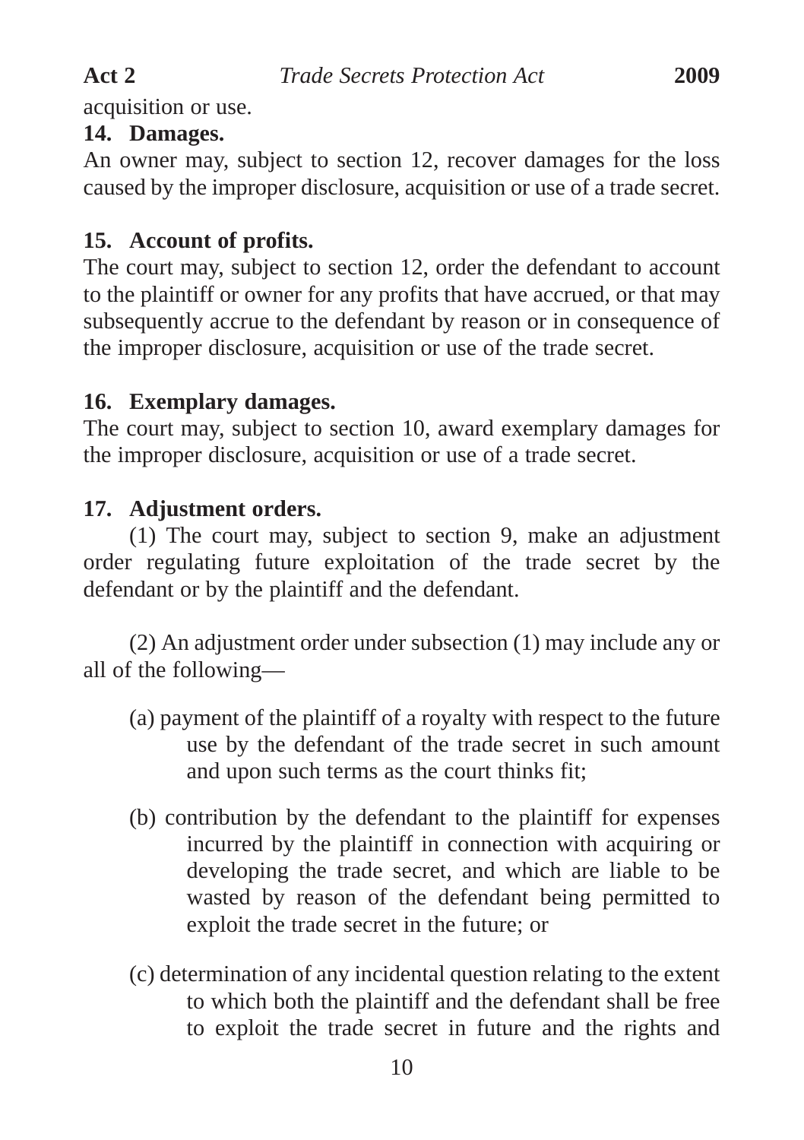acquisition or use.

## **14. Damages.**

An owner may, subject to section 12, recover damages for the loss caused by the improper disclosure, acquisition or use of a trade secret.

## **15. Account of profits.**

The court may, subject to section 12, order the defendant to account to the plaintiff or owner for any profits that have accrued, or that may subsequently accrue to the defendant by reason or in consequence of the improper disclosure, acquisition or use of the trade secret.

## **16. Exemplary damages.**

The court may, subject to section 10, award exemplary damages for the improper disclosure, acquisition or use of a trade secret.

## **17. Adjustment orders.**

(1) The court may, subject to section 9, make an adjustment order regulating future exploitation of the trade secret by the defendant or by the plaintiff and the defendant.

(2) An adjustment order under subsection (1) may include any or all of the following—

- (a) payment of the plaintiff of a royalty with respect to the future use by the defendant of the trade secret in such amount and upon such terms as the court thinks fit;
- (b) contribution by the defendant to the plaintiff for expenses incurred by the plaintiff in connection with acquiring or developing the trade secret, and which are liable to be wasted by reason of the defendant being permitted to exploit the trade secret in the future; or
- (c) determination of any incidental question relating to the extent to which both the plaintiff and the defendant shall be free to exploit the trade secret in future and the rights and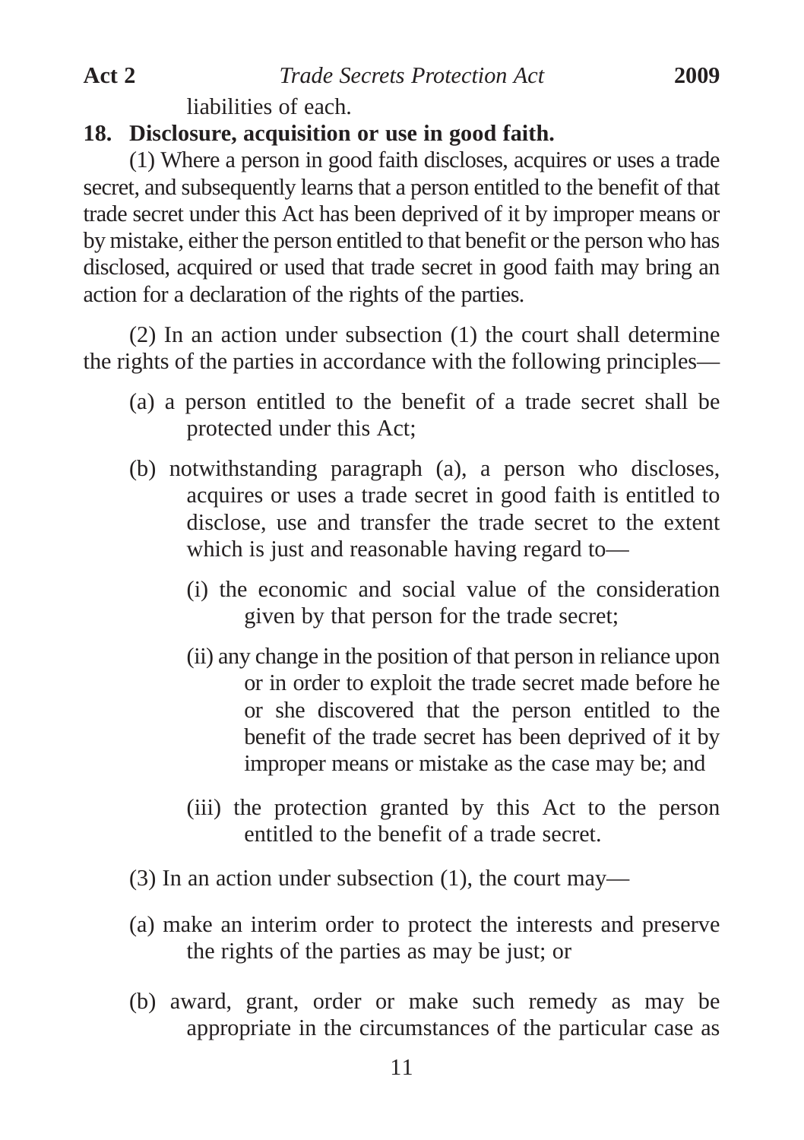liabilities of each.

## **18. Disclosure, acquisition or use in good faith.**

(1) Where a person in good faith discloses, acquires or uses a trade secret, and subsequently learns that a person entitled to the benefit of that trade secret under this Act has been deprived of it by improper means or by mistake, either the person entitled to that benefit or the person who has disclosed, acquired or used that trade secret in good faith may bring an action for a declaration of the rights of the parties.

(2) In an action under subsection (1) the court shall determine the rights of the parties in accordance with the following principles—

- (a) a person entitled to the benefit of a trade secret shall be protected under this Act;
- (b) notwithstanding paragraph (a), a person who discloses, acquires or uses a trade secret in good faith is entitled to disclose, use and transfer the trade secret to the extent which is just and reasonable having regard to—
	- (i) the economic and social value of the consideration given by that person for the trade secret;
	- (ii) any change in the position of that person in reliance upon or in order to exploit the trade secret made before he or she discovered that the person entitled to the benefit of the trade secret has been deprived of it by improper means or mistake as the case may be; and
	- (iii) the protection granted by this Act to the person entitled to the benefit of a trade secret.
- (3) In an action under subsection (1), the court may—
- (a) make an interim order to protect the interests and preserve the rights of the parties as may be just; or
- (b) award, grant, order or make such remedy as may be appropriate in the circumstances of the particular case as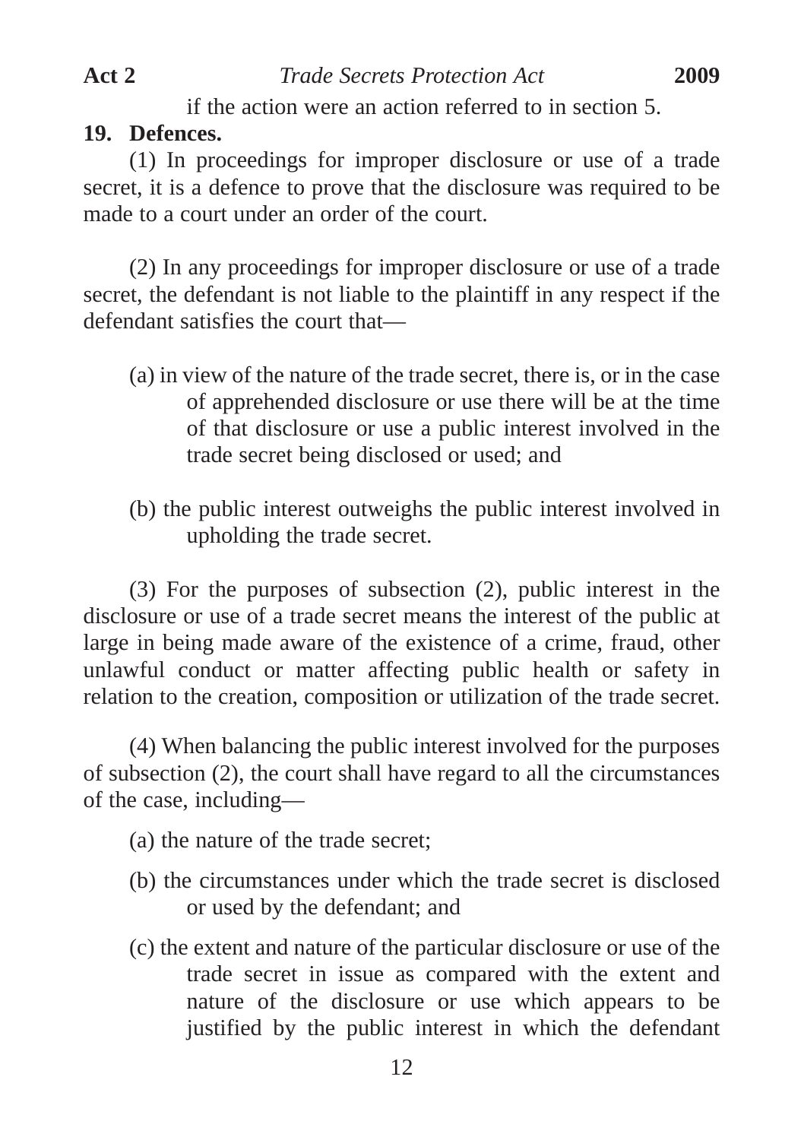if the action were an action referred to in section 5.

#### **19. Defences.**

(1) In proceedings for improper disclosure or use of a trade secret, it is a defence to prove that the disclosure was required to be made to a court under an order of the court.

(2) In any proceedings for improper disclosure or use of a trade secret, the defendant is not liable to the plaintiff in any respect if the defendant satisfies the court that—

- (a) in view of the nature of the trade secret, there is, or in the case of apprehended disclosure or use there will be at the time of that disclosure or use a public interest involved in the trade secret being disclosed or used; and
- (b) the public interest outweighs the public interest involved in upholding the trade secret.

(3) For the purposes of subsection (2), public interest in the disclosure or use of a trade secret means the interest of the public at large in being made aware of the existence of a crime, fraud, other unlawful conduct or matter affecting public health or safety in relation to the creation, composition or utilization of the trade secret.

(4) When balancing the public interest involved for the purposes of subsection (2), the court shall have regard to all the circumstances of the case, including—

- (a) the nature of the trade secret;
- (b) the circumstances under which the trade secret is disclosed or used by the defendant; and
- (c) the extent and nature of the particular disclosure or use of the trade secret in issue as compared with the extent and nature of the disclosure or use which appears to be justified by the public interest in which the defendant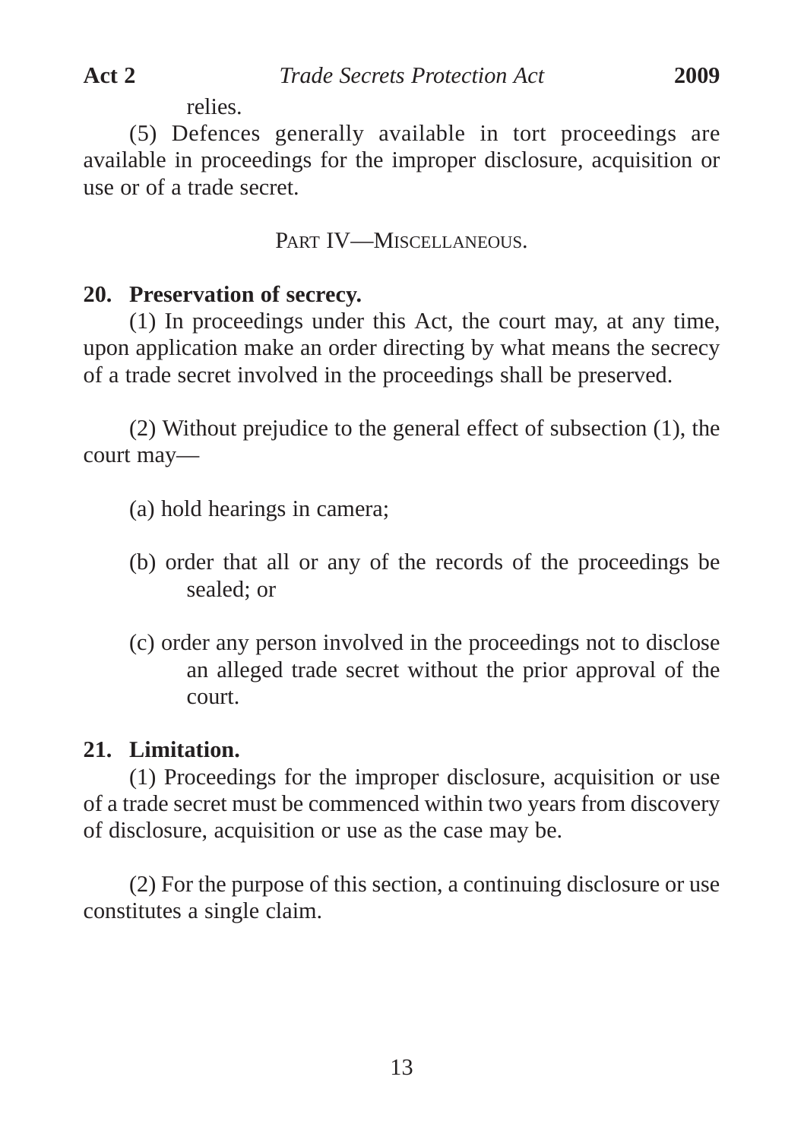relies.

(5) Defences generally available in tort proceedings are available in proceedings for the improper disclosure, acquisition or use or of a trade secret.

PART IV—MISCELLANEOUS.

## **20. Preservation of secrecy.**

(1) In proceedings under this Act, the court may, at any time, upon application make an order directing by what means the secrecy of a trade secret involved in the proceedings shall be preserved.

(2) Without prejudice to the general effect of subsection (1), the court may—

- (a) hold hearings in camera;
- (b) order that all or any of the records of the proceedings be sealed; or
- (c) order any person involved in the proceedings not to disclose an alleged trade secret without the prior approval of the court.

## **21. Limitation.**

(1) Proceedings for the improper disclosure, acquisition or use of a trade secret must be commenced within two years from discovery of disclosure, acquisition or use as the case may be.

(2) For the purpose of this section, a continuing disclosure or use constitutes a single claim.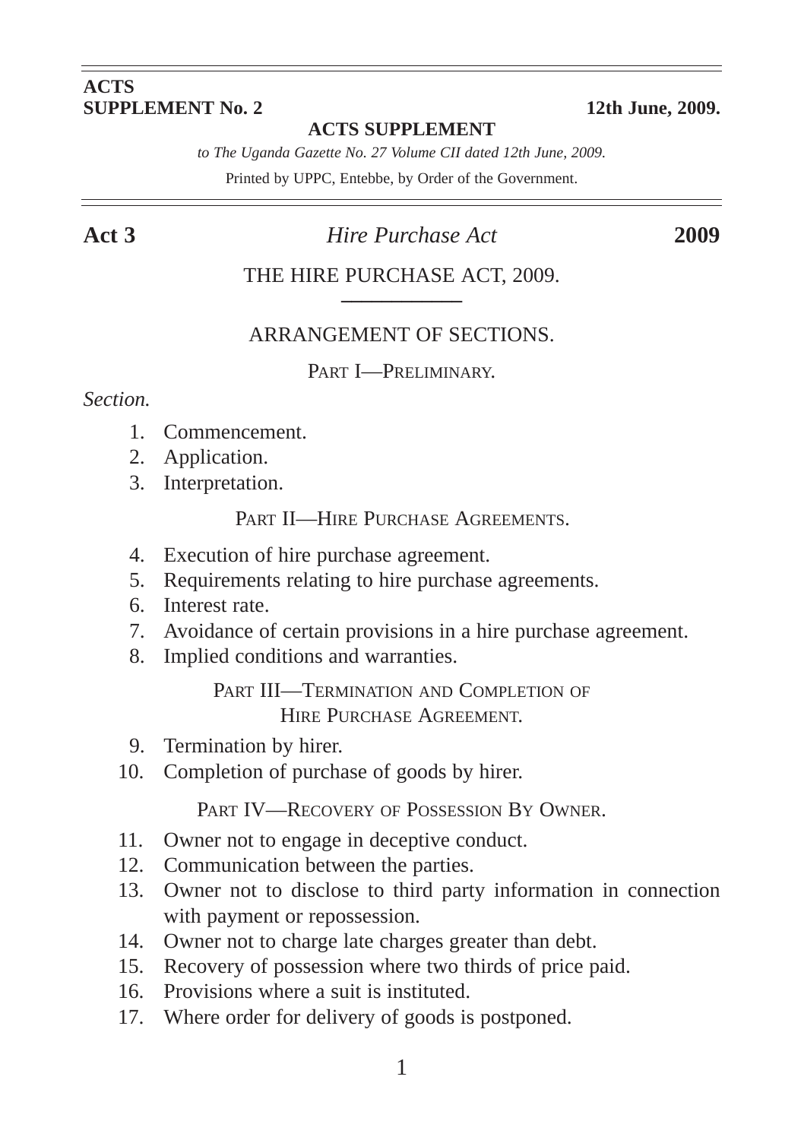#### **ACTS SUPPLEMENT No. 2** 12th June, 2009.

#### **ACTS SUPPLEMENT**

*to The Uganda Gazette No. 27 Volume CII dated 12th June, 2009.*

Printed by UPPC, Entebbe, by Order of the Government.

#### **Act 3** *Hire Purchase Act* **2009**

#### THE HIRE PURCHASE ACT, 2009.

#### ARRANGEMENT OF SECTIONS.

PART **I**-PRELIMINARY

#### *Section.*

- 1. Commencement.
- 2. Application.
- 3. Interpretation.

PART II—HIRE PURCHASE AGREEMENTS.

- 4. Execution of hire purchase agreement.
- 5. Requirements relating to hire purchase agreements.
- 6. Interest rate.
- 7. Avoidance of certain provisions in a hire purchase agreement.
- 8. Implied conditions and warranties.

PART III—TERMINATION AND COMPLETION OF HIRE PURCHASE AGREEMENT.

- 9. Termination by hirer.
- 10. Completion of purchase of goods by hirer.

PART IV—RECOVERY OF POSSESSION BY OWNER.

- 11. Owner not to engage in deceptive conduct.
- 12. Communication between the parties.
- 13. Owner not to disclose to third party information in connection with payment or repossession.
- 14. Owner not to charge late charges greater than debt.
- 15. Recovery of possession where two thirds of price paid.
- 16. Provisions where a suit is instituted.
- 17. Where order for delivery of goods is postponed.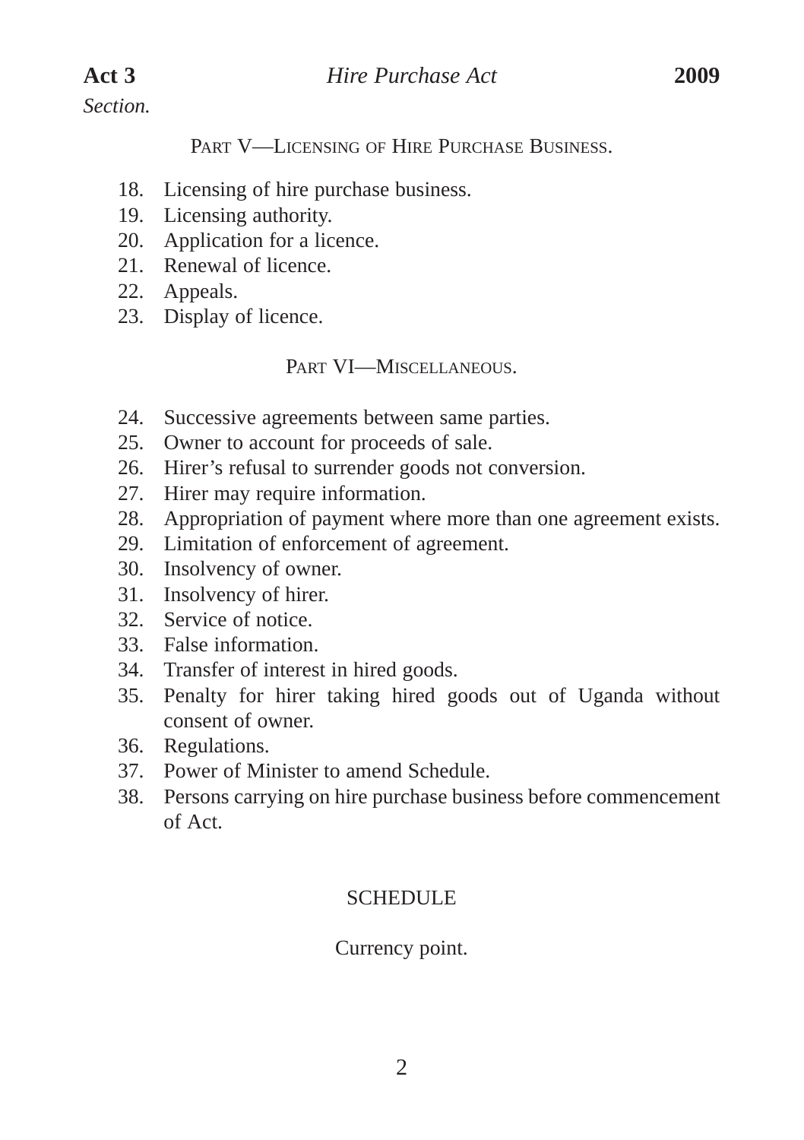*Section.*

PART V—LICENSING OF HIRE PURCHASE BUSINESS.

- 18. Licensing of hire purchase business.
- 19. Licensing authority.
- 20. Application for a licence.
- 21. Renewal of licence.
- 22. Appeals.
- 23. Display of licence.

#### PART VI—MISCELLANEOUS.

- 24. Successive agreements between same parties.
- 25. Owner to account for proceeds of sale.
- 26. Hirer's refusal to surrender goods not conversion.
- 27. Hirer may require information.
- 28. Appropriation of payment where more than one agreement exists.
- 29. Limitation of enforcement of agreement.
- 30. Insolvency of owner.
- 31. Insolvency of hirer.
- 32. Service of notice.
- 33. False information.
- 34. Transfer of interest in hired goods.
- 35. Penalty for hirer taking hired goods out of Uganda without consent of owner.
- 36. Regulations.
- 37. Power of Minister to amend Schedule.
- 38. Persons carrying on hire purchase business before commencement of Act.

## **SCHEDULE**

## Currency point.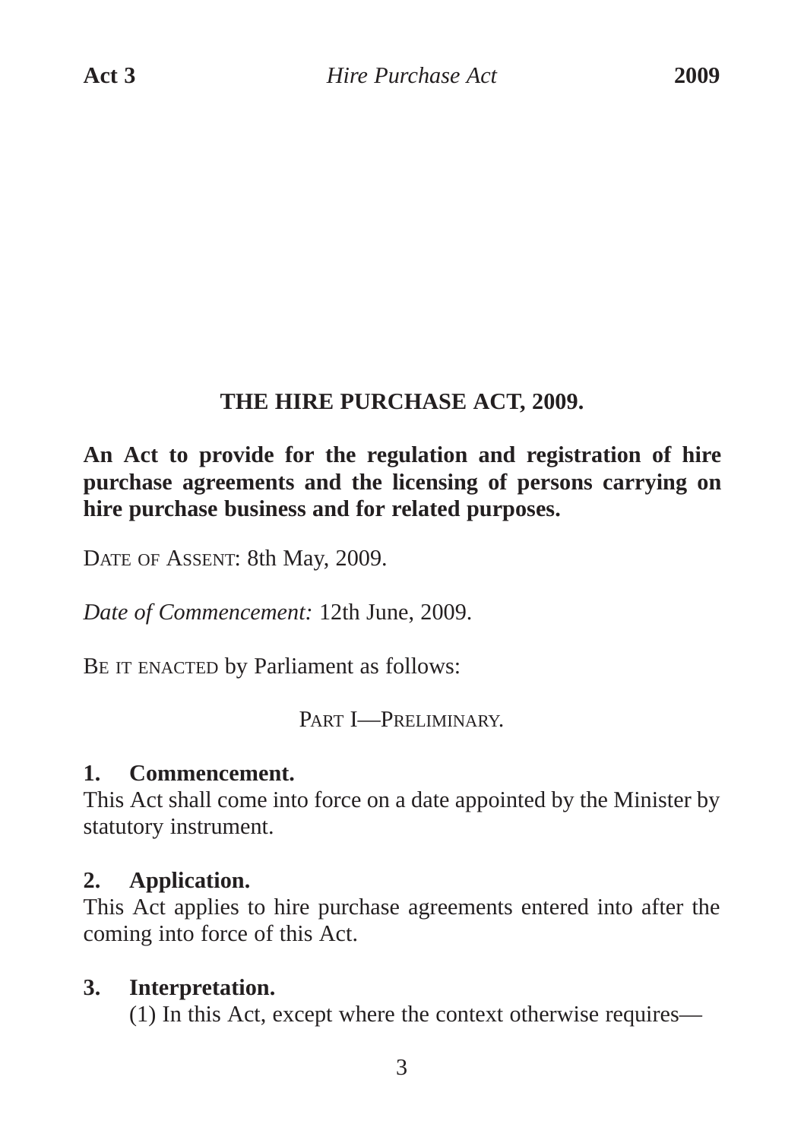## **THE HIRE PURCHASE ACT, 2009.**

## **An Act to provide for the regulation and registration of hire purchase agreements and the licensing of persons carrying on hire purchase business and for related purposes.**

DATE OF ASSENT: 8th May, 2009.

*Date of Commencement:* 12th June, 2009.

BE IT ENACTED by Parliament as follows:

PART **I**—PRELIMINARY

#### **1. Commencement.**

This Act shall come into force on a date appointed by the Minister by statutory instrument.

## **2. Application.**

This Act applies to hire purchase agreements entered into after the coming into force of this Act.

## **3. Interpretation.**

(1) In this Act, except where the context otherwise requires—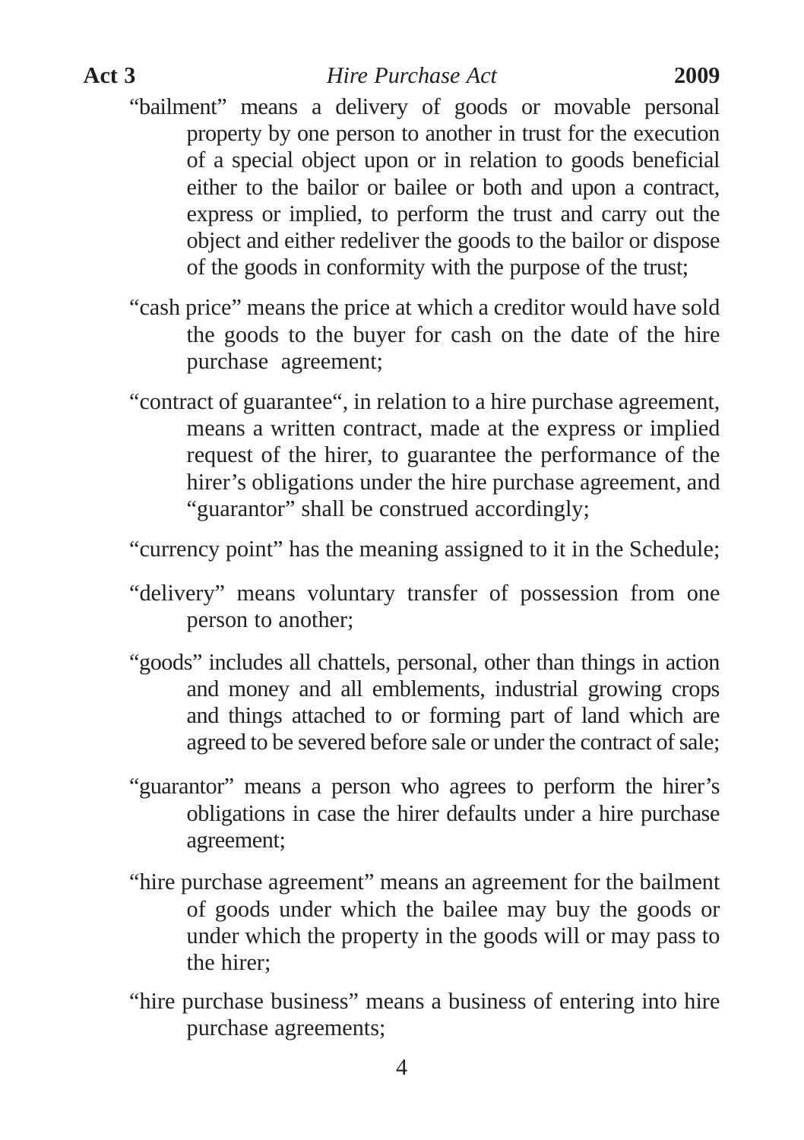"bailment" means a delivery of goods or movable personal property by one person to another in trust for the execution of a special object upon or in relation to goods beneficial either to the bailor or bailee or both and upon a contract, express or implied, to perform the trust and carry out the object and either redeliver the goods to the bailor or dispose of the goods in conformity with the purpose of the trust;

- "cash price" means the price at which a creditor would have sold the goods to the buyer for cash on the date of the hire purchase agreement;
- "contract of guarantee", in relation to a hire purchase agreement, means a written contract, made at the express or implied request of the hirer, to guarantee the performance of the hirer's obligations under the hire purchase agreement, and "guarantor" shall be construed accordingly;

"currency point" has the meaning assigned to it in the Schedule;

- "delivery" means voluntary transfer of possession from one person to another;
- "goods" includes all chattels, personal, other than things in action and money and all emblements, industrial growing crops and things attached to or forming part of land which are agreed to be severed before sale or under the contract of sale;
- "guarantor" means a person who agrees to perform the hirer's obligations in case the hirer defaults under a hire purchase agreement;
- "hire purchase agreement" means an agreement for the bailment of goods under which the bailee may buy the goods or under which the property in the goods will or may pass to the hirer;
- "hire purchase business" means a business of entering into hire purchase agreements;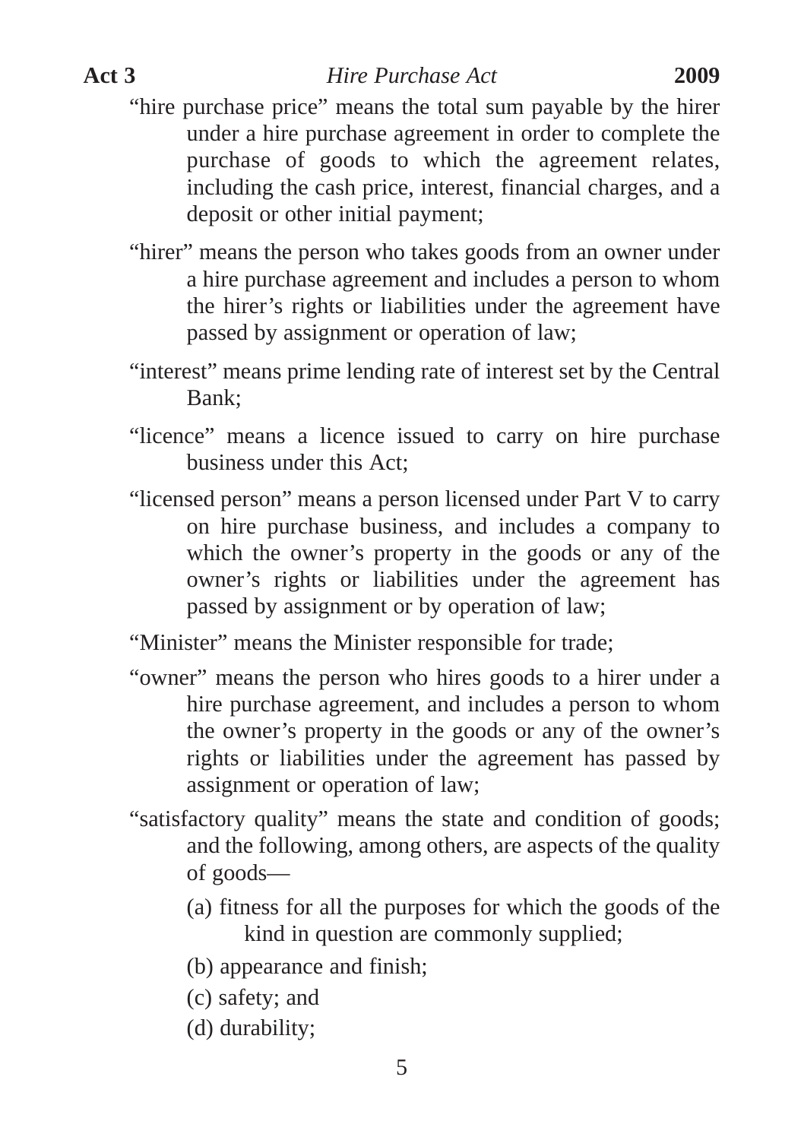- "hire purchase price" means the total sum payable by the hirer under a hire purchase agreement in order to complete the purchase of goods to which the agreement relates, including the cash price, interest, financial charges, and a deposit or other initial payment;
- "hirer" means the person who takes goods from an owner under a hire purchase agreement and includes a person to whom the hirer's rights or liabilities under the agreement have passed by assignment or operation of law;
- "interest" means prime lending rate of interest set by the Central Bank;
- "licence" means a licence issued to carry on hire purchase business under this Act;
- "licensed person" means a person licensed under Part V to carry on hire purchase business, and includes a company to which the owner's property in the goods or any of the owner's rights or liabilities under the agreement has passed by assignment or by operation of law;
- "Minister" means the Minister responsible for trade;
- "owner" means the person who hires goods to a hirer under a hire purchase agreement, and includes a person to whom the owner's property in the goods or any of the owner's rights or liabilities under the agreement has passed by assignment or operation of law;
- "satisfactory quality" means the state and condition of goods; and the following, among others, are aspects of the quality of goods—
	- (a) fitness for all the purposes for which the goods of the kind in question are commonly supplied;
	- (b) appearance and finish;
	- (c) safety; and
	- (d) durability;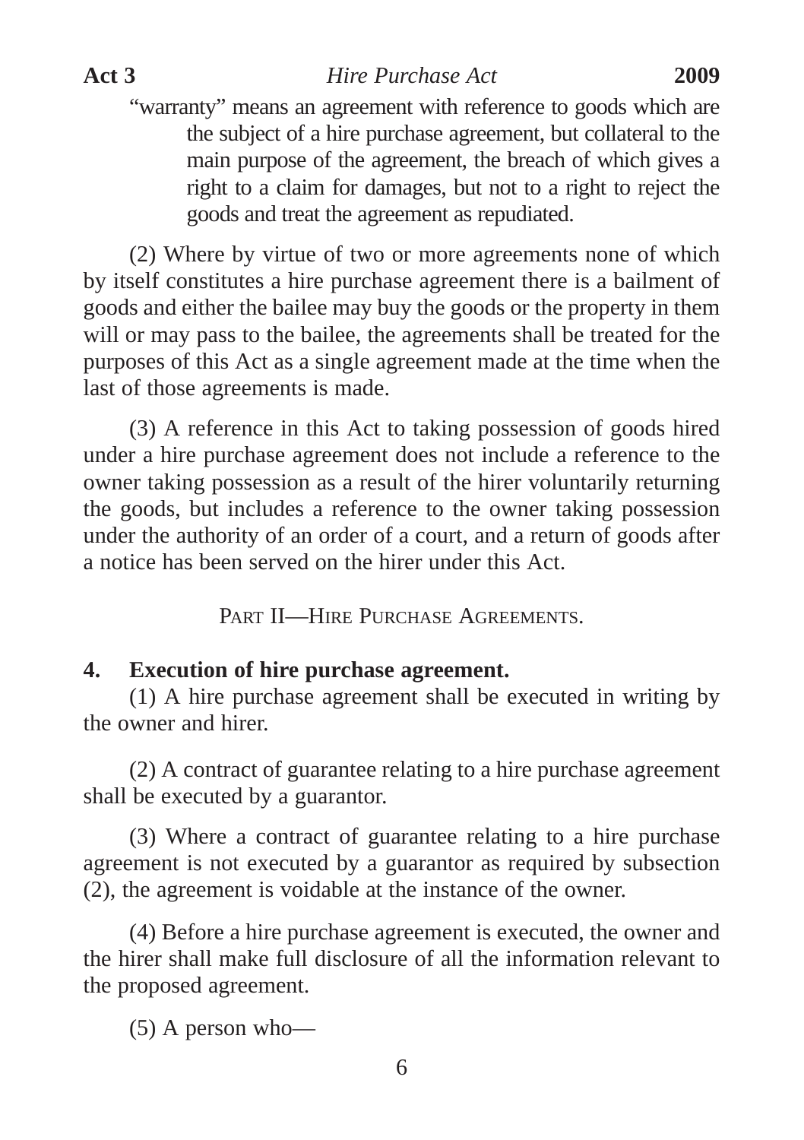(2) Where by virtue of two or more agreements none of which by itself constitutes a hire purchase agreement there is a bailment of goods and either the bailee may buy the goods or the property in them will or may pass to the bailee, the agreements shall be treated for the purposes of this Act as a single agreement made at the time when the last of those agreements is made.

(3) A reference in this Act to taking possession of goods hired under a hire purchase agreement does not include a reference to the owner taking possession as a result of the hirer voluntarily returning the goods, but includes a reference to the owner taking possession under the authority of an order of a court, and a return of goods after a notice has been served on the hirer under this Act.

PART II—HIRE PURCHASE AGREEMENTS.

## **4. Execution of hire purchase agreement.**

(1) A hire purchase agreement shall be executed in writing by the owner and hirer.

(2) A contract of guarantee relating to a hire purchase agreement shall be executed by a guarantor.

(3) Where a contract of guarantee relating to a hire purchase agreement is not executed by a guarantor as required by subsection (2), the agreement is voidable at the instance of the owner.

(4) Before a hire purchase agreement is executed, the owner and the hirer shall make full disclosure of all the information relevant to the proposed agreement.

(5) A person who—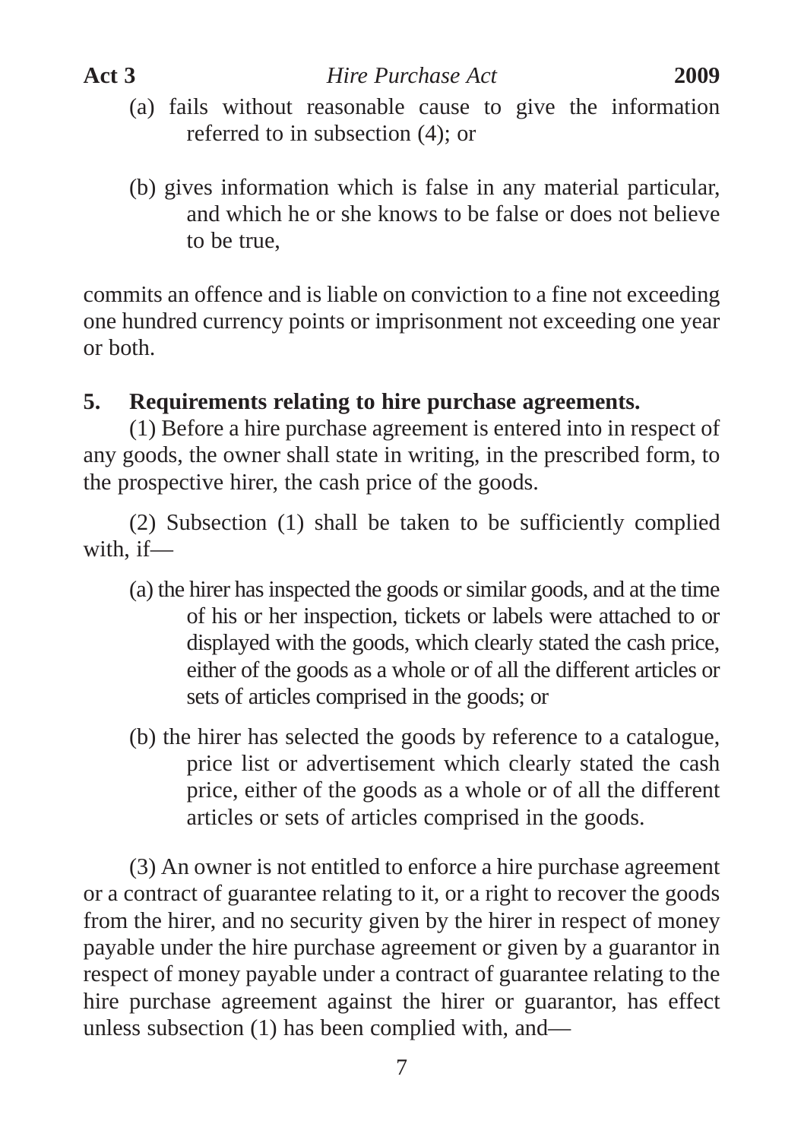- (a) fails without reasonable cause to give the information referred to in subsection (4); or
- (b) gives information which is false in any material particular, and which he or she knows to be false or does not believe to be true,

commits an offence and is liable on conviction to a fine not exceeding one hundred currency points or imprisonment not exceeding one year or both.

## **5. Requirements relating to hire purchase agreements.**

(1) Before a hire purchase agreement is entered into in respect of any goods, the owner shall state in writing, in the prescribed form, to the prospective hirer, the cash price of the goods.

(2) Subsection (1) shall be taken to be sufficiently complied with, if—

- (a) the hirer has inspected the goods or similar goods, and at the time of his or her inspection, tickets or labels were attached to or displayed with the goods, which clearly stated the cash price, either of the goods as a whole or of all the different articles or sets of articles comprised in the goods; or
- (b) the hirer has selected the goods by reference to a catalogue, price list or advertisement which clearly stated the cash price, either of the goods as a whole or of all the different articles or sets of articles comprised in the goods.

(3) An owner is not entitled to enforce a hire purchase agreement or a contract of guarantee relating to it, or a right to recover the goods from the hirer, and no security given by the hirer in respect of money payable under the hire purchase agreement or given by a guarantor in respect of money payable under a contract of guarantee relating to the hire purchase agreement against the hirer or guarantor, has effect unless subsection (1) has been complied with, and—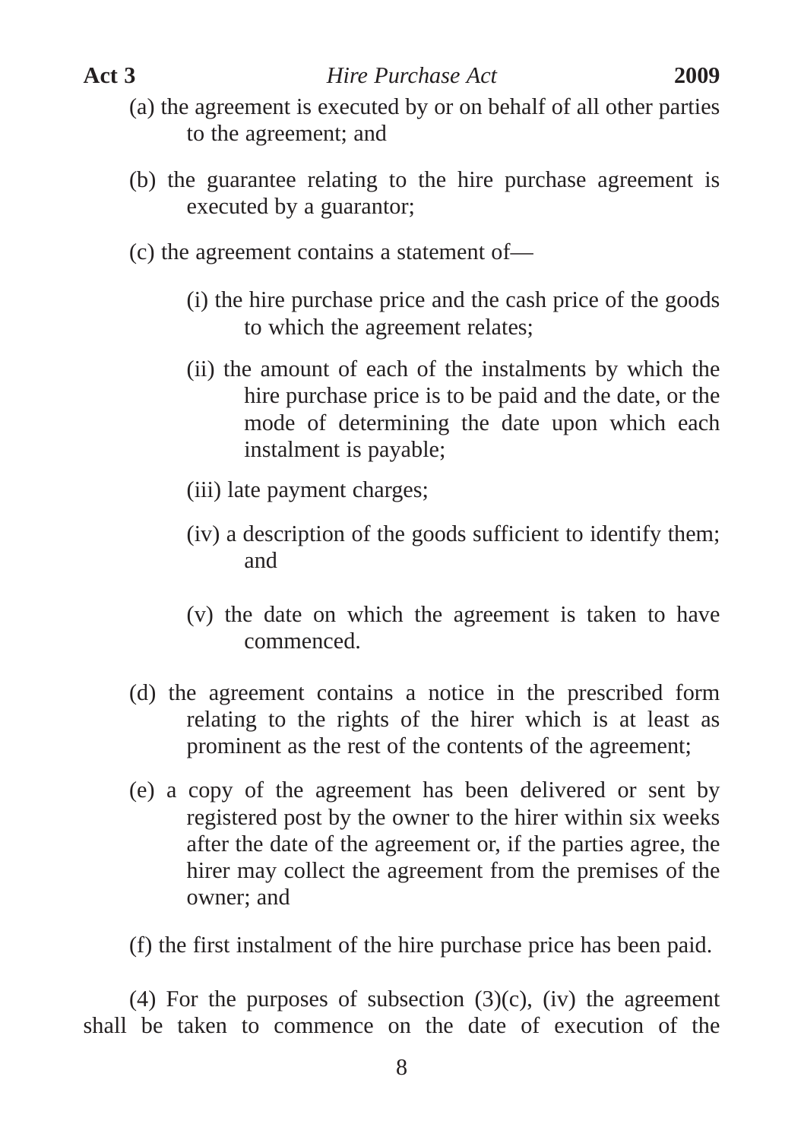- (a) the agreement is executed by or on behalf of all other parties to the agreement; and
- (b) the guarantee relating to the hire purchase agreement is executed by a guarantor;
- (c) the agreement contains a statement of—
	- (i) the hire purchase price and the cash price of the goods to which the agreement relates;
	- (ii) the amount of each of the instalments by which the hire purchase price is to be paid and the date, or the mode of determining the date upon which each instalment is payable;
	- (iii) late payment charges;
	- (iv) a description of the goods sufficient to identify them; and
	- (v) the date on which the agreement is taken to have commenced.
- (d) the agreement contains a notice in the prescribed form relating to the rights of the hirer which is at least as prominent as the rest of the contents of the agreement;
- (e) a copy of the agreement has been delivered or sent by registered post by the owner to the hirer within six weeks after the date of the agreement or, if the parties agree, the hirer may collect the agreement from the premises of the owner; and
- (f) the first instalment of the hire purchase price has been paid.

(4) For the purposes of subsection  $(3)(c)$ , (iv) the agreement shall be taken to commence on the date of execution of the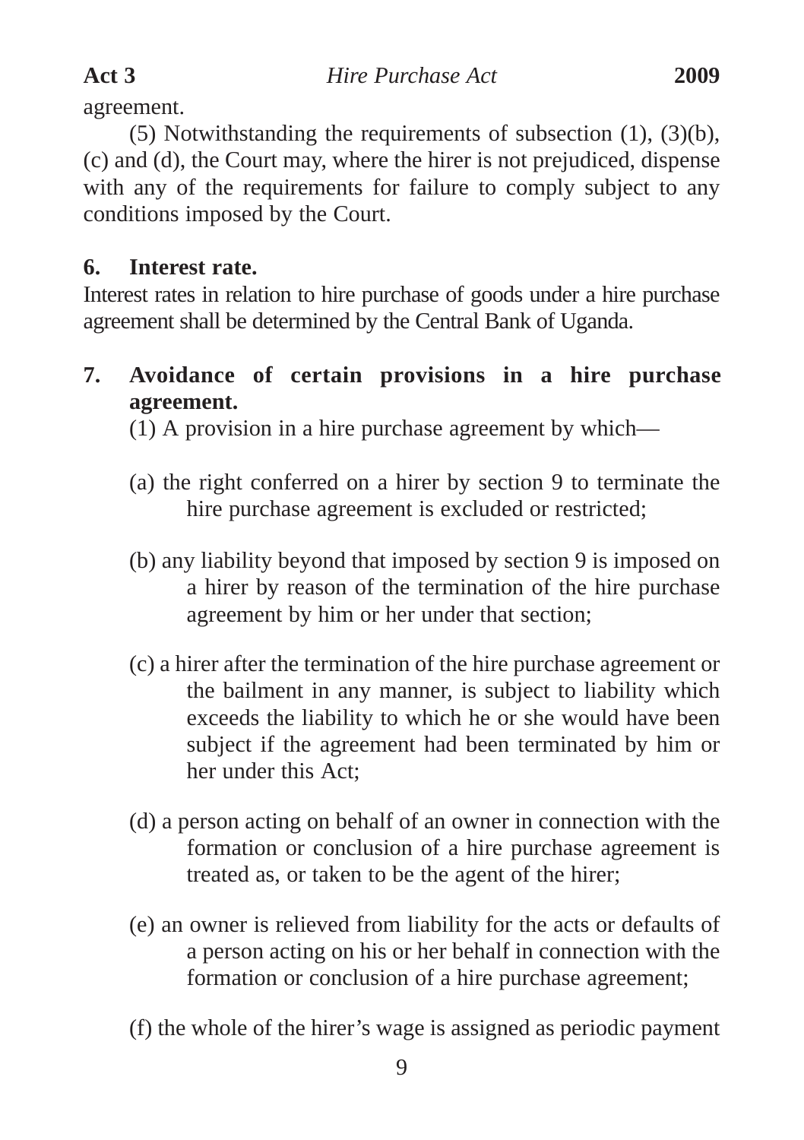agreement.

(5) Notwithstanding the requirements of subsection (1), (3)(b), (c) and (d), the Court may, where the hirer is not prejudiced, dispense with any of the requirements for failure to comply subject to any conditions imposed by the Court.

## **6. Interest rate.**

Interest rates in relation to hire purchase of goods under a hire purchase agreement shall be determined by the Central Bank of Uganda.

**7. Avoidance of certain provisions in a hire purchase agreement.**

(1) A provision in a hire purchase agreement by which—

- (a) the right conferred on a hirer by section 9 to terminate the hire purchase agreement is excluded or restricted;
- (b) any liability beyond that imposed by section 9 is imposed on a hirer by reason of the termination of the hire purchase agreement by him or her under that section;
- (c) a hirer after the termination of the hire purchase agreement or the bailment in any manner, is subject to liability which exceeds the liability to which he or she would have been subject if the agreement had been terminated by him or her under this Act;
- (d) a person acting on behalf of an owner in connection with the formation or conclusion of a hire purchase agreement is treated as, or taken to be the agent of the hirer;
- (e) an owner is relieved from liability for the acts or defaults of a person acting on his or her behalf in connection with the formation or conclusion of a hire purchase agreement;
- (f) the whole of the hirer's wage is assigned as periodic payment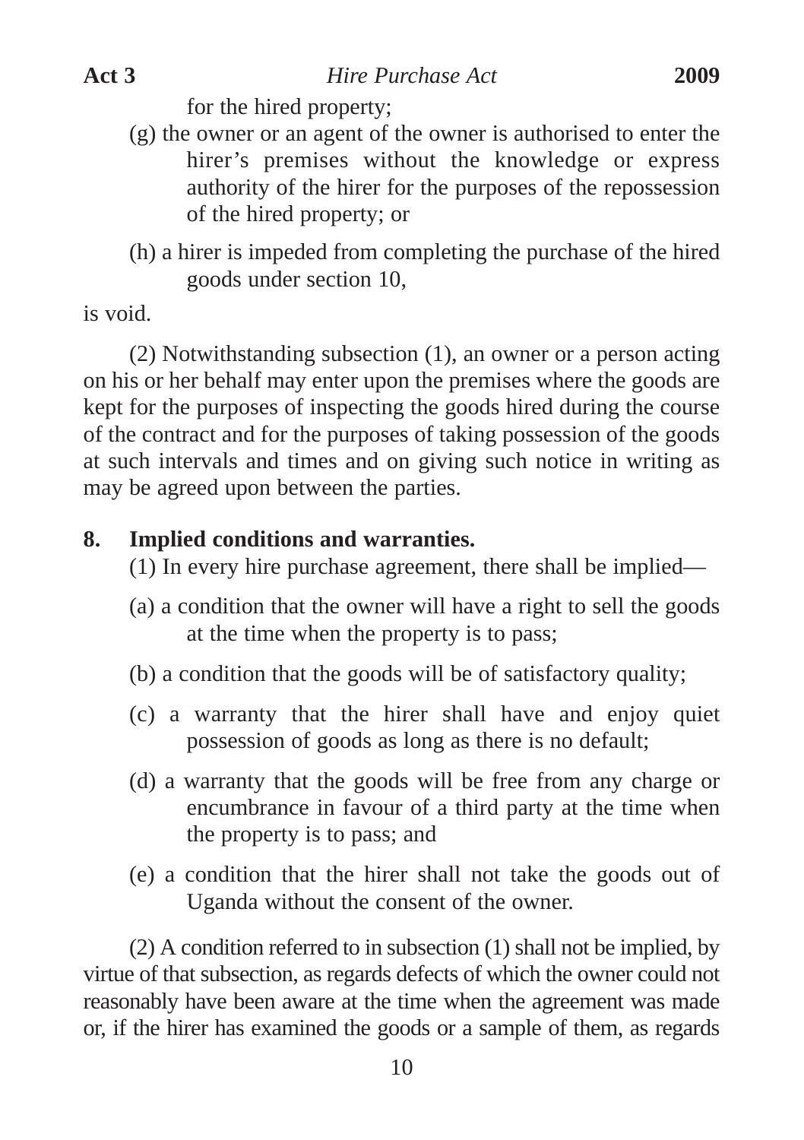for the hired property;

- (g) the owner or an agent of the owner is authorised to enter the hirer's premises without the knowledge or express authority of the hirer for the purposes of the repossession of the hired property; or
- (h) a hirer is impeded from completing the purchase of the hired goods under section 10,

is void.

(2) Notwithstanding subsection (1), an owner or a person acting on his or her behalf may enter upon the premises where the goods are kept for the purposes of inspecting the goods hired during the course of the contract and for the purposes of taking possession of the goods at such intervals and times and on giving such notice in writing as may be agreed upon between the parties.

#### **8. Implied conditions and warranties.**

- (1) In every hire purchase agreement, there shall be implied—
- (a) a condition that the owner will have a right to sell the goods at the time when the property is to pass;
- (b) a condition that the goods will be of satisfactory quality;
- (c) a warranty that the hirer shall have and enjoy quiet possession of goods as long as there is no default;
- (d) a warranty that the goods will be free from any charge or encumbrance in favour of a third party at the time when the property is to pass; and
- (e) a condition that the hirer shall not take the goods out of Uganda without the consent of the owner.

(2) A condition referred to in subsection (1) shall not be implied, by virtue of that subsection, as regards defects of which the owner could not reasonably have been aware at the time when the agreement was made or, if the hirer has examined the goods or a sample of them, as regards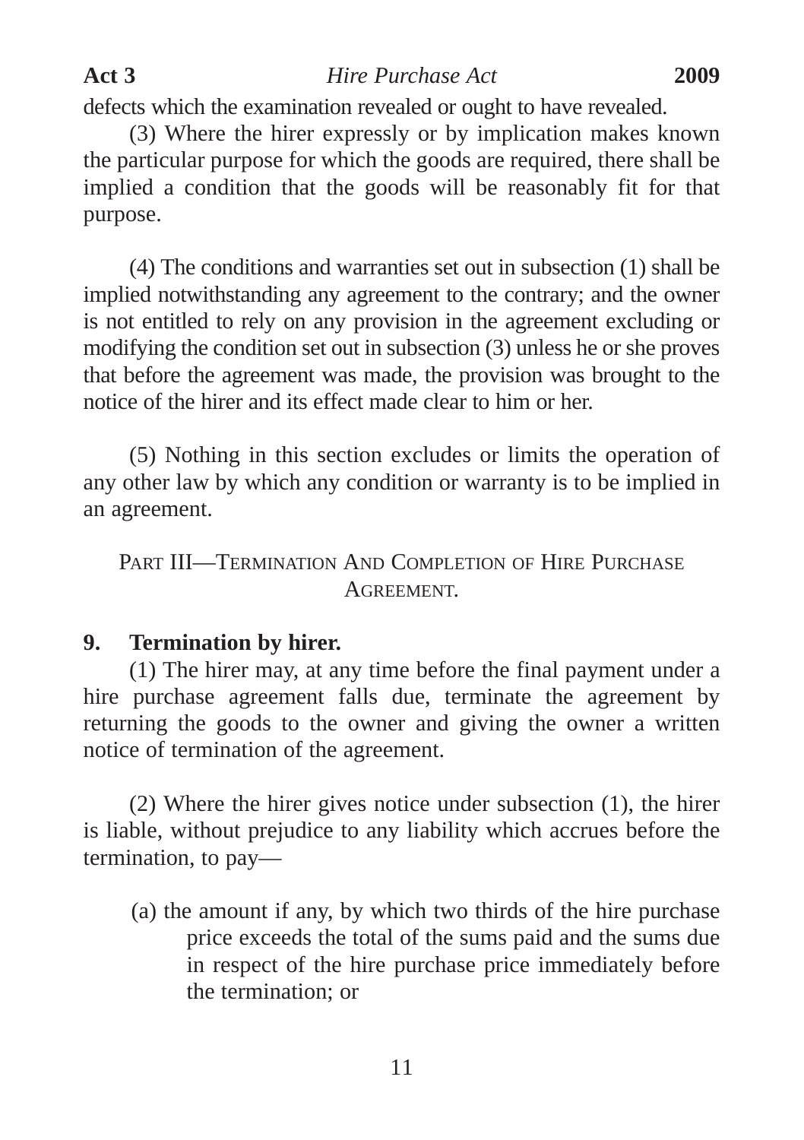defects which the examination revealed or ought to have revealed.

(3) Where the hirer expressly or by implication makes known the particular purpose for which the goods are required, there shall be implied a condition that the goods will be reasonably fit for that purpose.

(4) The conditions and warranties set out in subsection (1) shall be implied notwithstanding any agreement to the contrary; and the owner is not entitled to rely on any provision in the agreement excluding or modifying the condition set out in subsection (3) unless he or she proves that before the agreement was made, the provision was brought to the notice of the hirer and its effect made clear to him or her.

(5) Nothing in this section excludes or limits the operation of any other law by which any condition or warranty is to be implied in an agreement.

PART III—TERMINATION AND COMPLETION OF HIRE PURCHASE **AGREEMENT** 

#### **9. Termination by hirer.**

(1) The hirer may, at any time before the final payment under a hire purchase agreement falls due, terminate the agreement by returning the goods to the owner and giving the owner a written notice of termination of the agreement.

(2) Where the hirer gives notice under subsection (1), the hirer is liable, without prejudice to any liability which accrues before the termination, to pay—

(a) the amount if any, by which two thirds of the hire purchase price exceeds the total of the sums paid and the sums due in respect of the hire purchase price immediately before the termination; or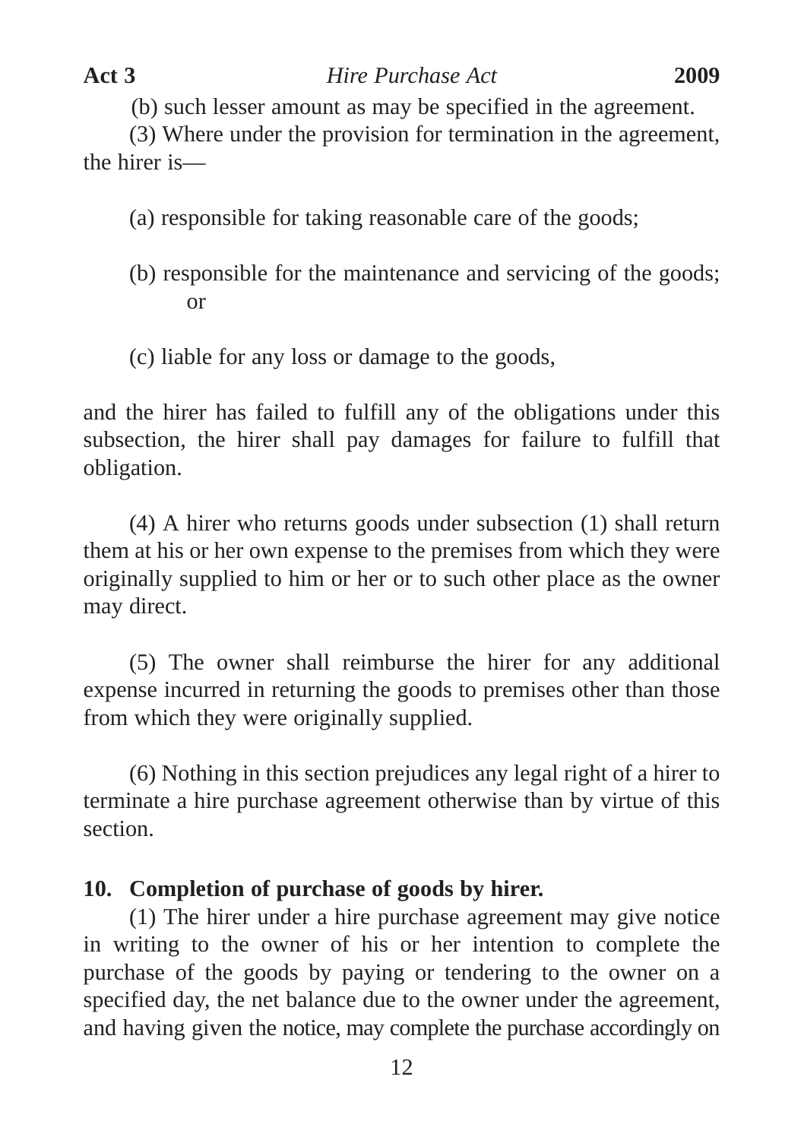(b) such lesser amount as may be specified in the agreement.

(3) Where under the provision for termination in the agreement, the hirer is—

(a) responsible for taking reasonable care of the goods;

- (b) responsible for the maintenance and servicing of the goods; or
- (c) liable for any loss or damage to the goods,

and the hirer has failed to fulfill any of the obligations under this subsection, the hirer shall pay damages for failure to fulfill that obligation.

(4) A hirer who returns goods under subsection (1) shall return them at his or her own expense to the premises from which they were originally supplied to him or her or to such other place as the owner may direct.

(5) The owner shall reimburse the hirer for any additional expense incurred in returning the goods to premises other than those from which they were originally supplied.

(6) Nothing in this section prejudices any legal right of a hirer to terminate a hire purchase agreement otherwise than by virtue of this section.

## **10. Completion of purchase of goods by hirer.**

(1) The hirer under a hire purchase agreement may give notice in writing to the owner of his or her intention to complete the purchase of the goods by paying or tendering to the owner on a specified day, the net balance due to the owner under the agreement, and having given the notice, may complete the purchase accordingly on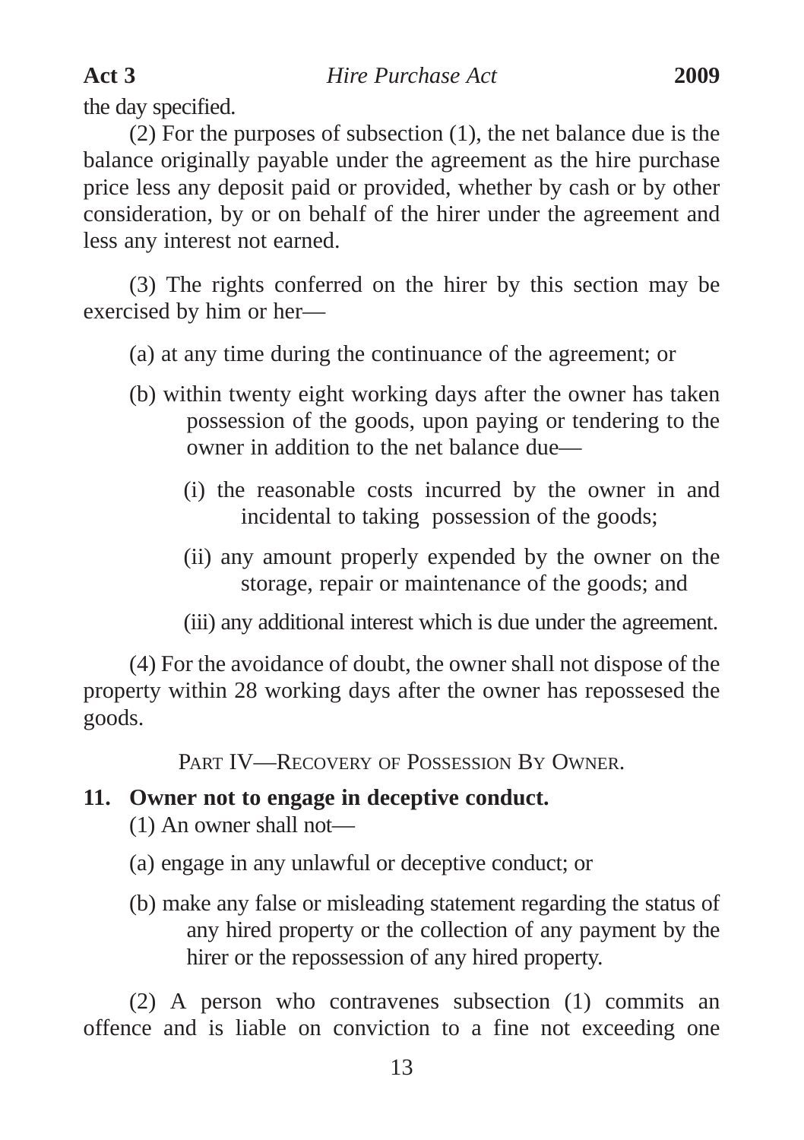the day specified.

(2) For the purposes of subsection (1), the net balance due is the balance originally payable under the agreement as the hire purchase price less any deposit paid or provided, whether by cash or by other consideration, by or on behalf of the hirer under the agreement and less any interest not earned.

(3) The rights conferred on the hirer by this section may be exercised by him or her—

(a) at any time during the continuance of the agreement; or

- (b) within twenty eight working days after the owner has taken possession of the goods, upon paying or tendering to the owner in addition to the net balance due—
	- (i) the reasonable costs incurred by the owner in and incidental to taking possession of the goods;
	- (ii) any amount properly expended by the owner on the storage, repair or maintenance of the goods; and
	- (iii) any additional interest which is due under the agreement.

(4) For the avoidance of doubt, the owner shall not dispose of the property within 28 working days after the owner has repossesed the goods.

PART IV—RECOVERY OF POSSESSION BY OWNER.

#### **11. Owner not to engage in deceptive conduct.**

(1) An owner shall not—

- (a) engage in any unlawful or deceptive conduct; or
- (b) make any false or misleading statement regarding the status of any hired property or the collection of any payment by the hirer or the repossession of any hired property.

(2) A person who contravenes subsection (1) commits an offence and is liable on conviction to a fine not exceeding one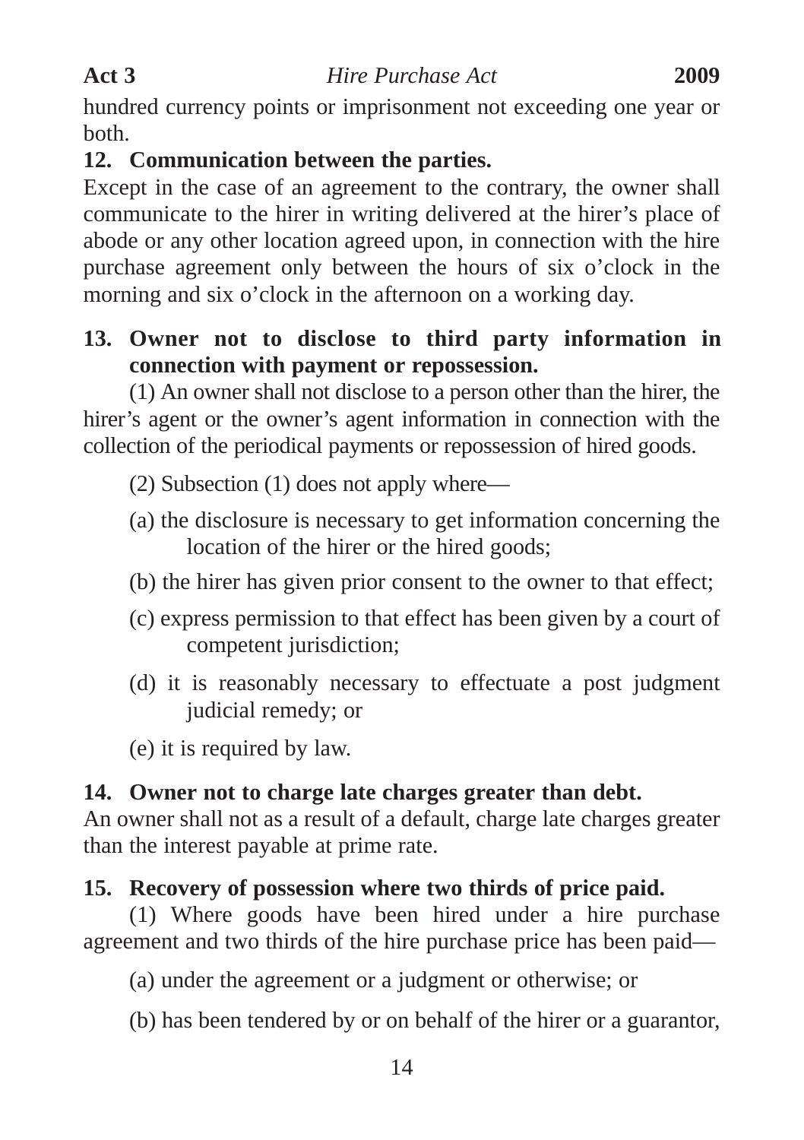hundred currency points or imprisonment not exceeding one year or both.

## **12. Communication between the parties.**

Except in the case of an agreement to the contrary, the owner shall communicate to the hirer in writing delivered at the hirer's place of abode or any other location agreed upon, in connection with the hire purchase agreement only between the hours of six o'clock in the morning and six o'clock in the afternoon on a working day.

## **13. Owner not to disclose to third party information in connection with payment or repossession.**

(1) An owner shall not disclose to a person other than the hirer, the hirer's agent or the owner's agent information in connection with the collection of the periodical payments or repossession of hired goods.

- (2) Subsection (1) does not apply where—
- (a) the disclosure is necessary to get information concerning the location of the hirer or the hired goods;
- (b) the hirer has given prior consent to the owner to that effect;
- (c) express permission to that effect has been given by a court of competent jurisdiction:
- (d) it is reasonably necessary to effectuate a post judgment judicial remedy; or
- (e) it is required by law.

## **14. Owner not to charge late charges greater than debt.**

An owner shall not as a result of a default, charge late charges greater than the interest payable at prime rate.

## **15. Recovery of possession where two thirds of price paid.**

(1) Where goods have been hired under a hire purchase agreement and two thirds of the hire purchase price has been paid—

(a) under the agreement or a judgment or otherwise; or

(b) has been tendered by or on behalf of the hirer or a guarantor,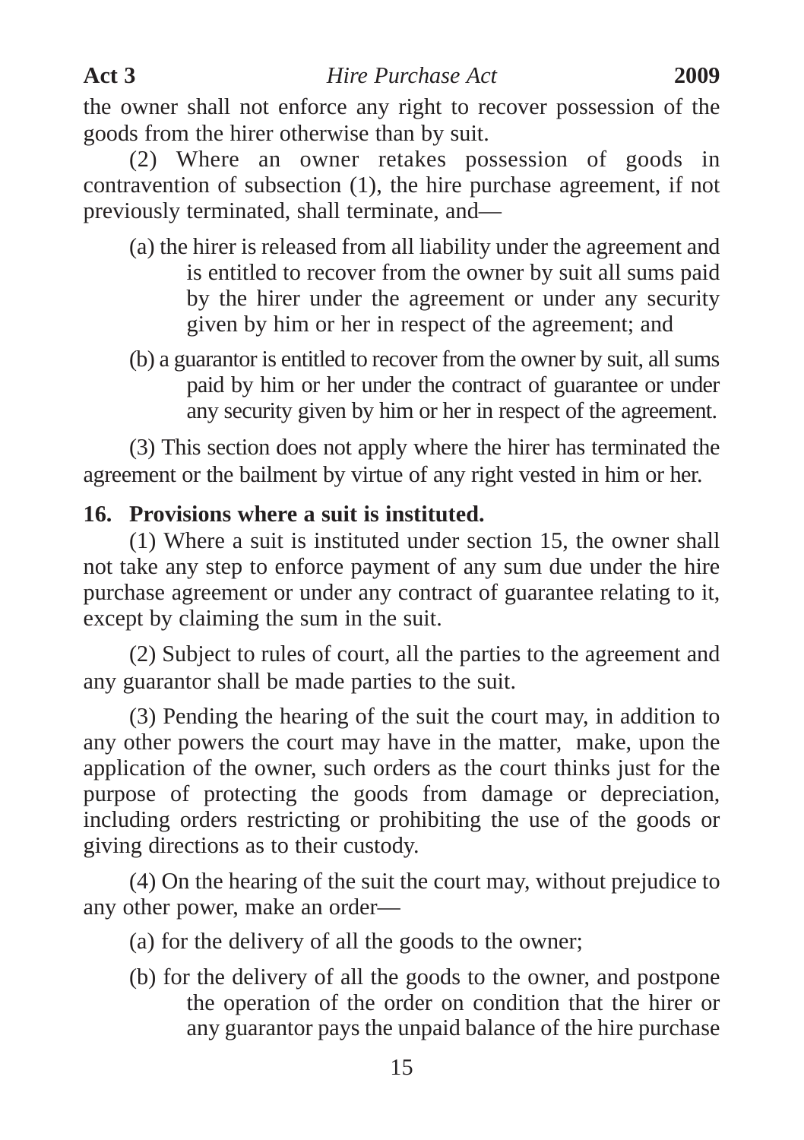the owner shall not enforce any right to recover possession of the goods from the hirer otherwise than by suit.

(2) Where an owner retakes possession of goods in contravention of subsection (1), the hire purchase agreement, if not previously terminated, shall terminate, and—

- (a) the hirer is released from all liability under the agreement and is entitled to recover from the owner by suit all sums paid by the hirer under the agreement or under any security given by him or her in respect of the agreement; and
- (b) a guarantor is entitled to recover from the owner by suit, all sums paid by him or her under the contract of guarantee or under any security given by him or her in respect of the agreement.

(3) This section does not apply where the hirer has terminated the agreement or the bailment by virtue of any right vested in him or her.

## **16. Provisions where a suit is instituted.**

(1) Where a suit is instituted under section 15, the owner shall not take any step to enforce payment of any sum due under the hire purchase agreement or under any contract of guarantee relating to it, except by claiming the sum in the suit.

(2) Subject to rules of court, all the parties to the agreement and any guarantor shall be made parties to the suit.

(3) Pending the hearing of the suit the court may, in addition to any other powers the court may have in the matter, make, upon the application of the owner, such orders as the court thinks just for the purpose of protecting the goods from damage or depreciation, including orders restricting or prohibiting the use of the goods or giving directions as to their custody.

(4) On the hearing of the suit the court may, without prejudice to any other power, make an order—

(a) for the delivery of all the goods to the owner;

(b) for the delivery of all the goods to the owner, and postpone the operation of the order on condition that the hirer or any guarantor pays the unpaid balance of the hire purchase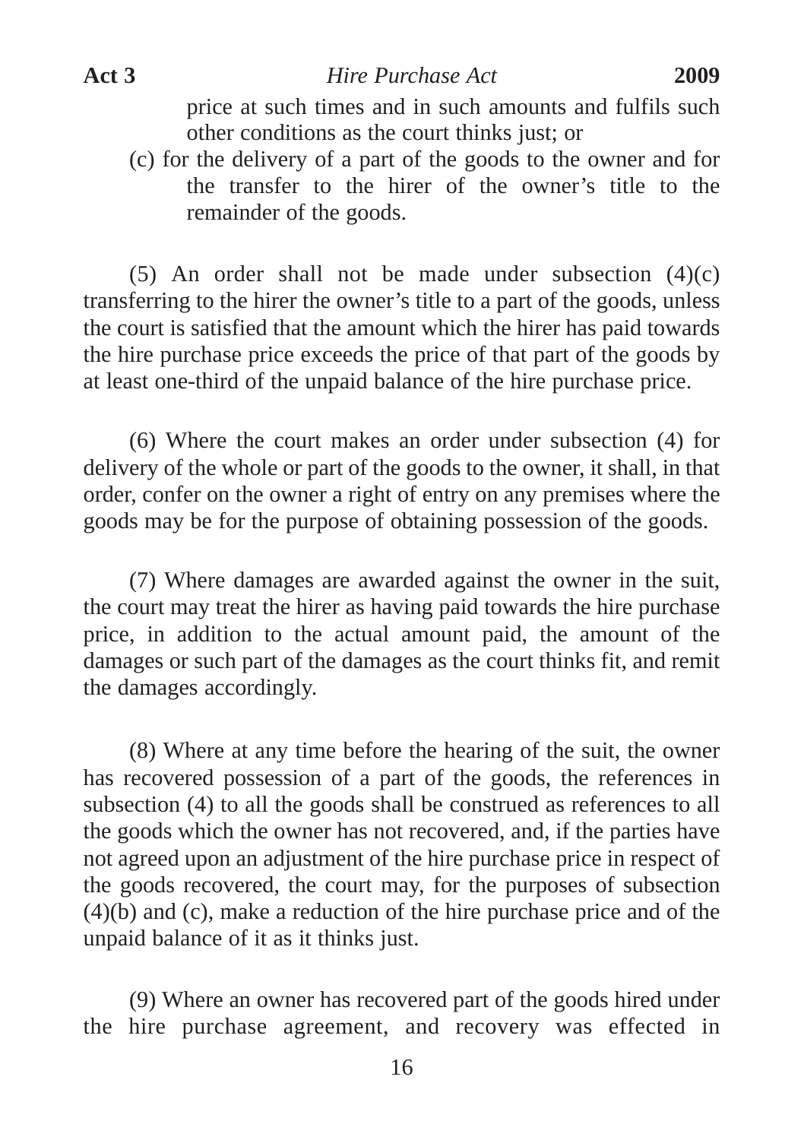price at such times and in such amounts and fulfils such other conditions as the court thinks just; or

(c) for the delivery of a part of the goods to the owner and for the transfer to the hirer of the owner's title to the remainder of the goods.

(5) An order shall not be made under subsection  $(4)(c)$ transferring to the hirer the owner's title to a part of the goods, unless the court is satisfied that the amount which the hirer has paid towards the hire purchase price exceeds the price of that part of the goods by at least one-third of the unpaid balance of the hire purchase price.

(6) Where the court makes an order under subsection (4) for delivery of the whole or part of the goods to the owner, it shall, in that order, confer on the owner a right of entry on any premises where the goods may be for the purpose of obtaining possession of the goods.

(7) Where damages are awarded against the owner in the suit, the court may treat the hirer as having paid towards the hire purchase price, in addition to the actual amount paid, the amount of the damages or such part of the damages as the court thinks fit, and remit the damages accordingly.

(8) Where at any time before the hearing of the suit, the owner has recovered possession of a part of the goods, the references in subsection (4) to all the goods shall be construed as references to all the goods which the owner has not recovered, and, if the parties have not agreed upon an adjustment of the hire purchase price in respect of the goods recovered, the court may, for the purposes of subsection (4)(b) and (c), make a reduction of the hire purchase price and of the unpaid balance of it as it thinks just.

(9) Where an owner has recovered part of the goods hired under the hire purchase agreement, and recovery was effected in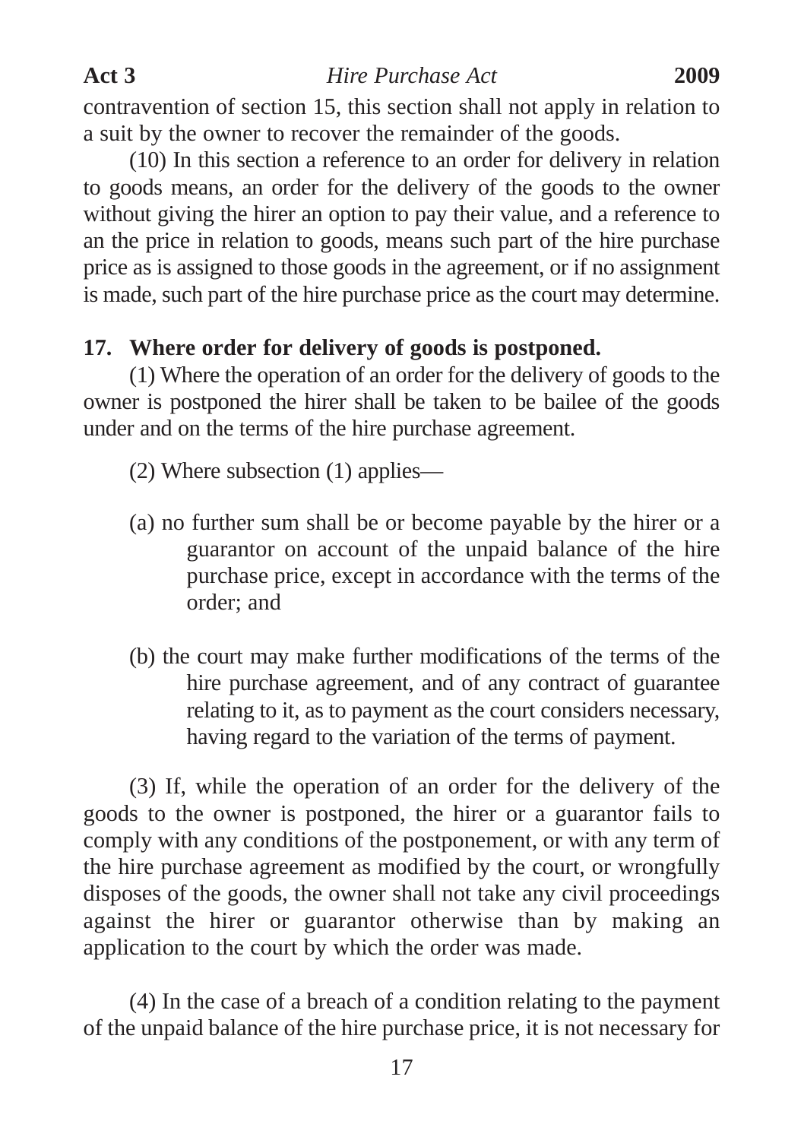contravention of section 15, this section shall not apply in relation to a suit by the owner to recover the remainder of the goods.

(10) In this section a reference to an order for delivery in relation to goods means, an order for the delivery of the goods to the owner without giving the hirer an option to pay their value, and a reference to an the price in relation to goods, means such part of the hire purchase price as is assigned to those goods in the agreement, or if no assignment is made, such part of the hire purchase price as the court may determine.

## **17. Where order for delivery of goods is postponed.**

(1) Where the operation of an order for the delivery of goods to the owner is postponed the hirer shall be taken to be bailee of the goods under and on the terms of the hire purchase agreement.

- (2) Where subsection (1) applies—
- (a) no further sum shall be or become payable by the hirer or a guarantor on account of the unpaid balance of the hire purchase price, except in accordance with the terms of the order; and
- (b) the court may make further modifications of the terms of the hire purchase agreement, and of any contract of guarantee relating to it, as to payment as the court considers necessary, having regard to the variation of the terms of payment.

(3) If, while the operation of an order for the delivery of the goods to the owner is postponed, the hirer or a guarantor fails to comply with any conditions of the postponement, or with any term of the hire purchase agreement as modified by the court, or wrongfully disposes of the goods, the owner shall not take any civil proceedings against the hirer or guarantor otherwise than by making an application to the court by which the order was made.

(4) In the case of a breach of a condition relating to the payment of the unpaid balance of the hire purchase price, it is not necessary for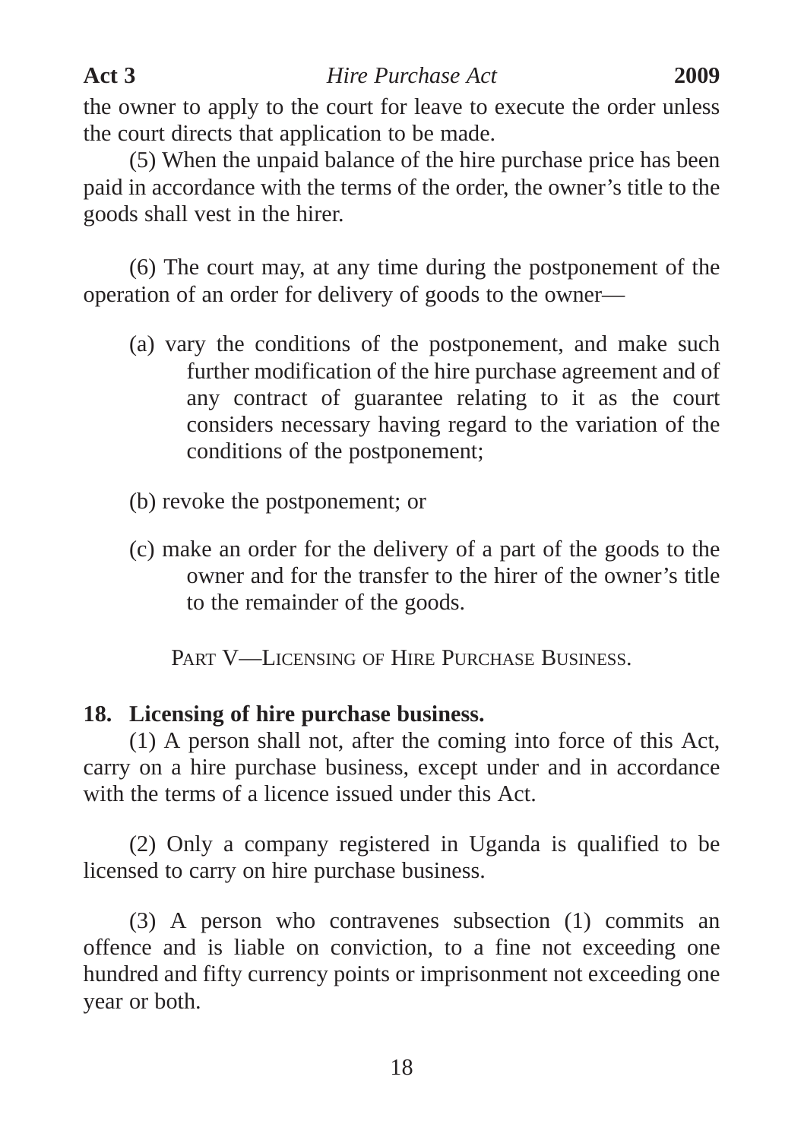the owner to apply to the court for leave to execute the order unless the court directs that application to be made.

(5) When the unpaid balance of the hire purchase price has been paid in accordance with the terms of the order, the owner's title to the goods shall vest in the hirer.

(6) The court may, at any time during the postponement of the operation of an order for delivery of goods to the owner—

- (a) vary the conditions of the postponement, and make such further modification of the hire purchase agreement and of any contract of guarantee relating to it as the court considers necessary having regard to the variation of the conditions of the postponement;
- (b) revoke the postponement; or
- (c) make an order for the delivery of a part of the goods to the owner and for the transfer to the hirer of the owner's title to the remainder of the goods.

PART V—LICENSING OF HIRE PURCHASE BUSINESS.

## **18. Licensing of hire purchase business.**

(1) A person shall not, after the coming into force of this Act, carry on a hire purchase business, except under and in accordance with the terms of a licence issued under this Act.

(2) Only a company registered in Uganda is qualified to be licensed to carry on hire purchase business.

(3) A person who contravenes subsection (1) commits an offence and is liable on conviction, to a fine not exceeding one hundred and fifty currency points or imprisonment not exceeding one year or both.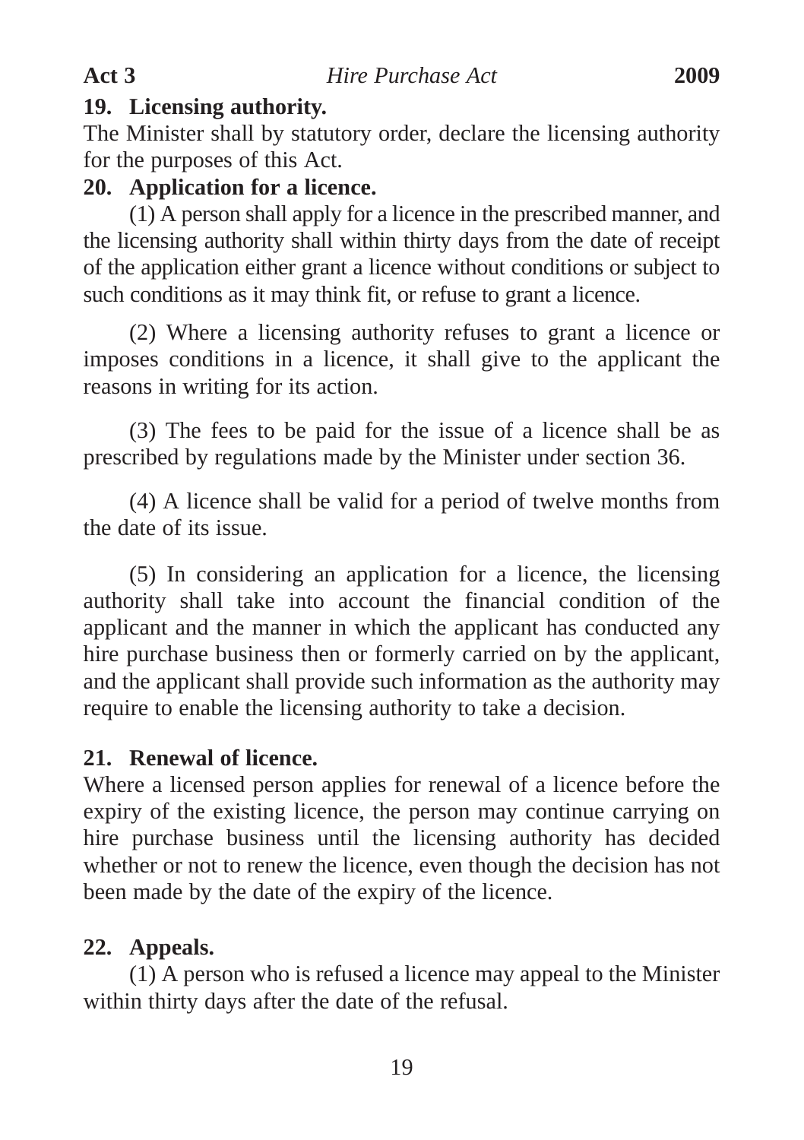#### **19. Licensing authority.**

The Minister shall by statutory order, declare the licensing authority for the purposes of this Act.

## **20. Application for a licence.**

(1) A person shall apply for a licence in the prescribed manner, and the licensing authority shall within thirty days from the date of receipt of the application either grant a licence without conditions or subject to such conditions as it may think fit, or refuse to grant a licence.

(2) Where a licensing authority refuses to grant a licence or imposes conditions in a licence, it shall give to the applicant the reasons in writing for its action.

(3) The fees to be paid for the issue of a licence shall be as prescribed by regulations made by the Minister under section 36.

(4) A licence shall be valid for a period of twelve months from the date of its issue.

(5) In considering an application for a licence, the licensing authority shall take into account the financial condition of the applicant and the manner in which the applicant has conducted any hire purchase business then or formerly carried on by the applicant, and the applicant shall provide such information as the authority may require to enable the licensing authority to take a decision.

## **21. Renewal of licence.**

Where a licensed person applies for renewal of a licence before the expiry of the existing licence, the person may continue carrying on hire purchase business until the licensing authority has decided whether or not to renew the licence, even though the decision has not been made by the date of the expiry of the licence.

## **22. Appeals.**

(1) A person who is refused a licence may appeal to the Minister within thirty days after the date of the refusal.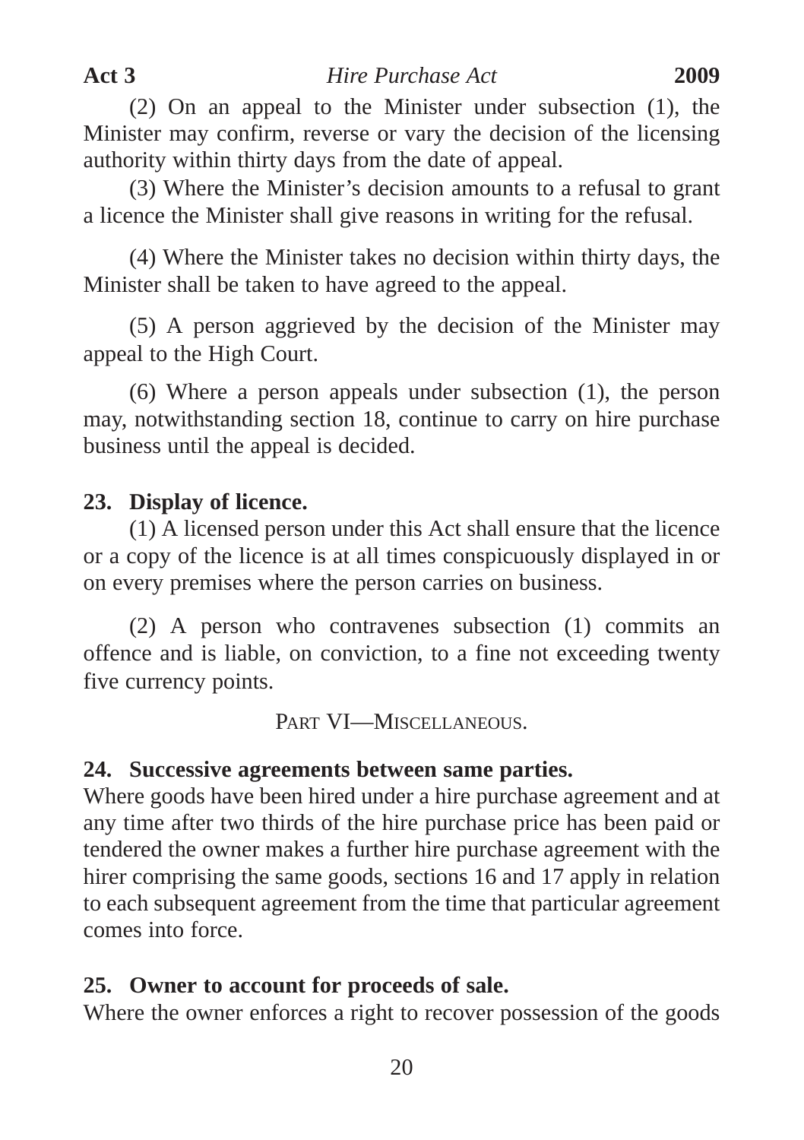(2) On an appeal to the Minister under subsection (1), the Minister may confirm, reverse or vary the decision of the licensing authority within thirty days from the date of appeal.

(3) Where the Minister's decision amounts to a refusal to grant a licence the Minister shall give reasons in writing for the refusal.

(4) Where the Minister takes no decision within thirty days, the Minister shall be taken to have agreed to the appeal.

(5) A person aggrieved by the decision of the Minister may appeal to the High Court.

(6) Where a person appeals under subsection (1), the person may, notwithstanding section 18, continue to carry on hire purchase business until the appeal is decided.

## **23. Display of licence.**

(1) A licensed person under this Act shall ensure that the licence or a copy of the licence is at all times conspicuously displayed in or on every premises where the person carries on business.

(2) A person who contravenes subsection (1) commits an offence and is liable, on conviction, to a fine not exceeding twenty five currency points.

PART VI—MISCELLANEOUS.

## **24. Successive agreements between same parties.**

Where goods have been hired under a hire purchase agreement and at any time after two thirds of the hire purchase price has been paid or tendered the owner makes a further hire purchase agreement with the hirer comprising the same goods, sections 16 and 17 apply in relation to each subsequent agreement from the time that particular agreement comes into force.

## **25. Owner to account for proceeds of sale.**

Where the owner enforces a right to recover possession of the goods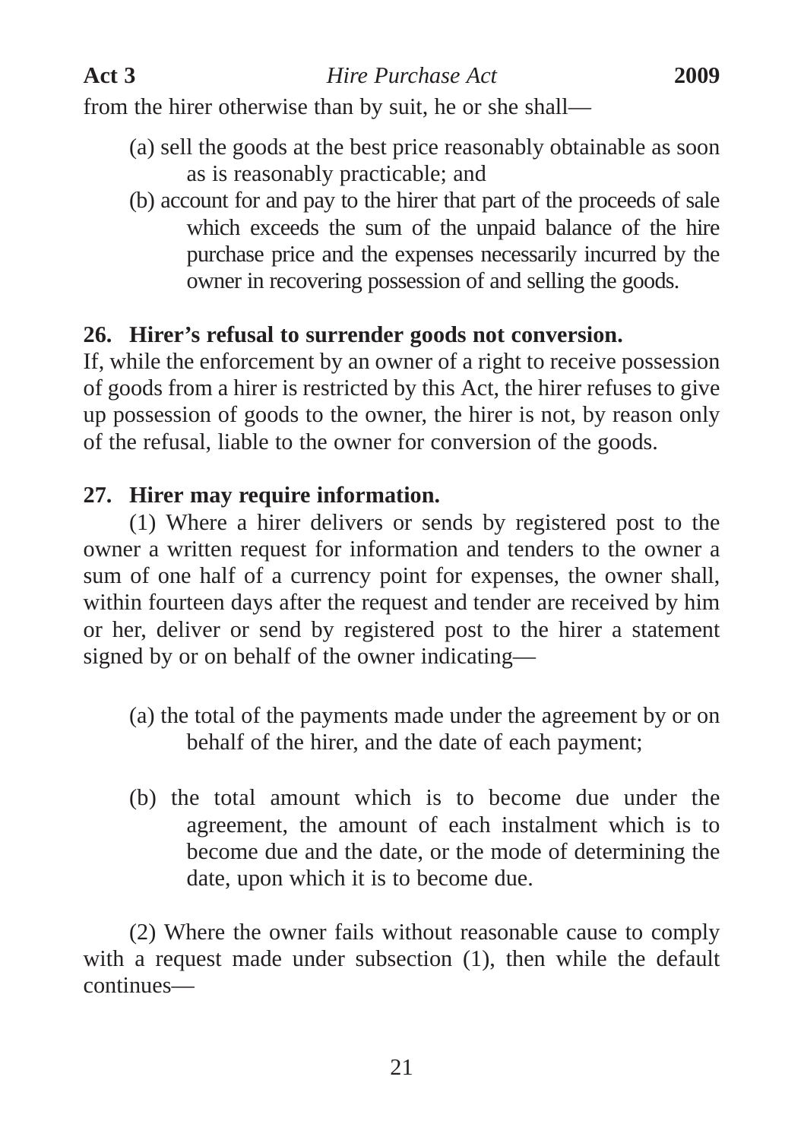from the hirer otherwise than by suit, he or she shall—

- (a) sell the goods at the best price reasonably obtainable as soon as is reasonably practicable; and
- (b) account for and pay to the hirer that part of the proceeds of sale which exceeds the sum of the unpaid balance of the hire purchase price and the expenses necessarily incurred by the owner in recovering possession of and selling the goods.

## **26. Hirer's refusal to surrender goods not conversion.**

If, while the enforcement by an owner of a right to receive possession of goods from a hirer is restricted by this Act, the hirer refuses to give up possession of goods to the owner, the hirer is not, by reason only of the refusal, liable to the owner for conversion of the goods.

#### **27. Hirer may require information.**

(1) Where a hirer delivers or sends by registered post to the owner a written request for information and tenders to the owner a sum of one half of a currency point for expenses, the owner shall, within fourteen days after the request and tender are received by him or her, deliver or send by registered post to the hirer a statement signed by or on behalf of the owner indicating—

- (a) the total of the payments made under the agreement by or on behalf of the hirer, and the date of each payment;
- (b) the total amount which is to become due under the agreement, the amount of each instalment which is to become due and the date, or the mode of determining the date, upon which it is to become due.

(2) Where the owner fails without reasonable cause to comply with a request made under subsection (1), then while the default continues—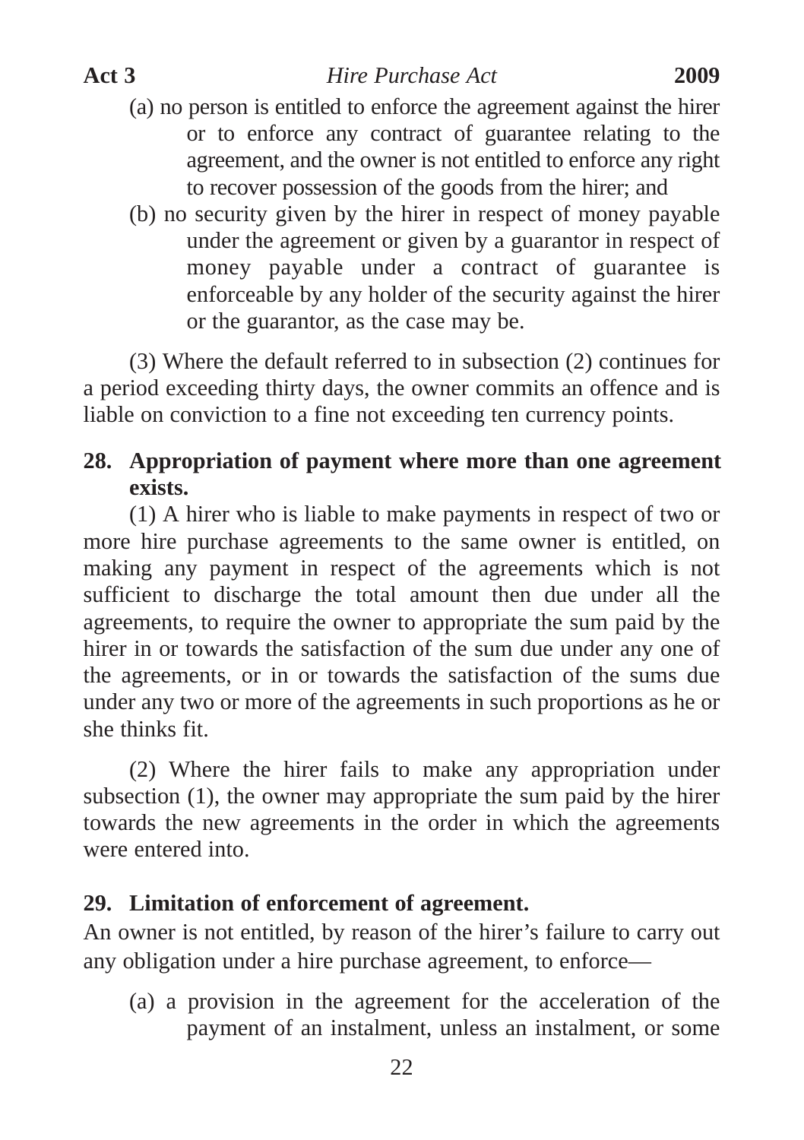- (a) no person is entitled to enforce the agreement against the hirer or to enforce any contract of guarantee relating to the agreement, and the owner is not entitled to enforce any right to recover possession of the goods from the hirer; and
- (b) no security given by the hirer in respect of money payable under the agreement or given by a guarantor in respect of money payable under a contract of guarantee is enforceable by any holder of the security against the hirer or the guarantor, as the case may be.

(3) Where the default referred to in subsection (2) continues for a period exceeding thirty days, the owner commits an offence and is liable on conviction to a fine not exceeding ten currency points.

## **28. Appropriation of payment where more than one agreement exists.**

(1) A hirer who is liable to make payments in respect of two or more hire purchase agreements to the same owner is entitled, on making any payment in respect of the agreements which is not sufficient to discharge the total amount then due under all the agreements, to require the owner to appropriate the sum paid by the hirer in or towards the satisfaction of the sum due under any one of the agreements, or in or towards the satisfaction of the sums due under any two or more of the agreements in such proportions as he or she thinks fit.

(2) Where the hirer fails to make any appropriation under subsection (1), the owner may appropriate the sum paid by the hirer towards the new agreements in the order in which the agreements were entered into.

## **29. Limitation of enforcement of agreement.**

An owner is not entitled, by reason of the hirer's failure to carry out any obligation under a hire purchase agreement, to enforce—

(a) a provision in the agreement for the acceleration of the payment of an instalment, unless an instalment, or some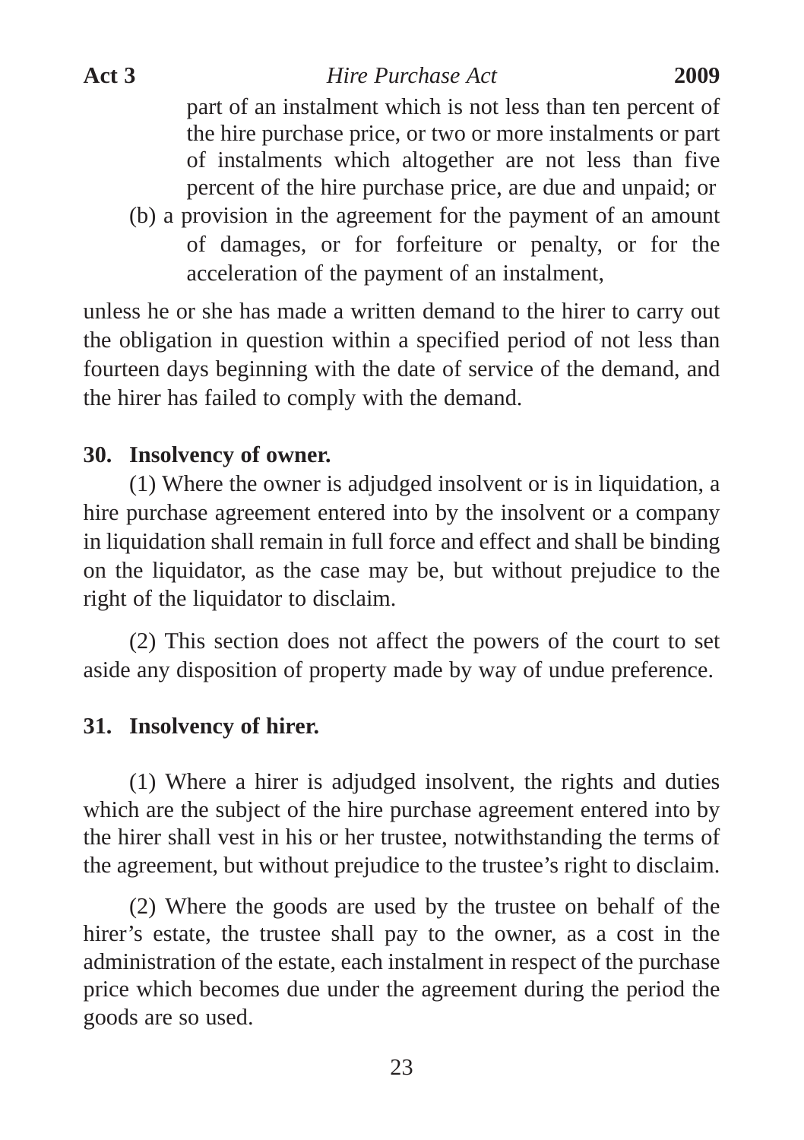part of an instalment which is not less than ten percent of the hire purchase price, or two or more instalments or part of instalments which altogether are not less than five percent of the hire purchase price, are due and unpaid; or

(b) a provision in the agreement for the payment of an amount of damages, or for forfeiture or penalty, or for the acceleration of the payment of an instalment,

unless he or she has made a written demand to the hirer to carry out the obligation in question within a specified period of not less than fourteen days beginning with the date of service of the demand, and the hirer has failed to comply with the demand.

## **30. Insolvency of owner.**

(1) Where the owner is adjudged insolvent or is in liquidation, a hire purchase agreement entered into by the insolvent or a company in liquidation shall remain in full force and effect and shall be binding on the liquidator, as the case may be, but without prejudice to the right of the liquidator to disclaim.

(2) This section does not affect the powers of the court to set aside any disposition of property made by way of undue preference.

## **31. Insolvency of hirer.**

(1) Where a hirer is adjudged insolvent, the rights and duties which are the subject of the hire purchase agreement entered into by the hirer shall vest in his or her trustee, notwithstanding the terms of the agreement, but without prejudice to the trustee's right to disclaim.

(2) Where the goods are used by the trustee on behalf of the hirer's estate, the trustee shall pay to the owner, as a cost in the administration of the estate, each instalment in respect of the purchase price which becomes due under the agreement during the period the goods are so used.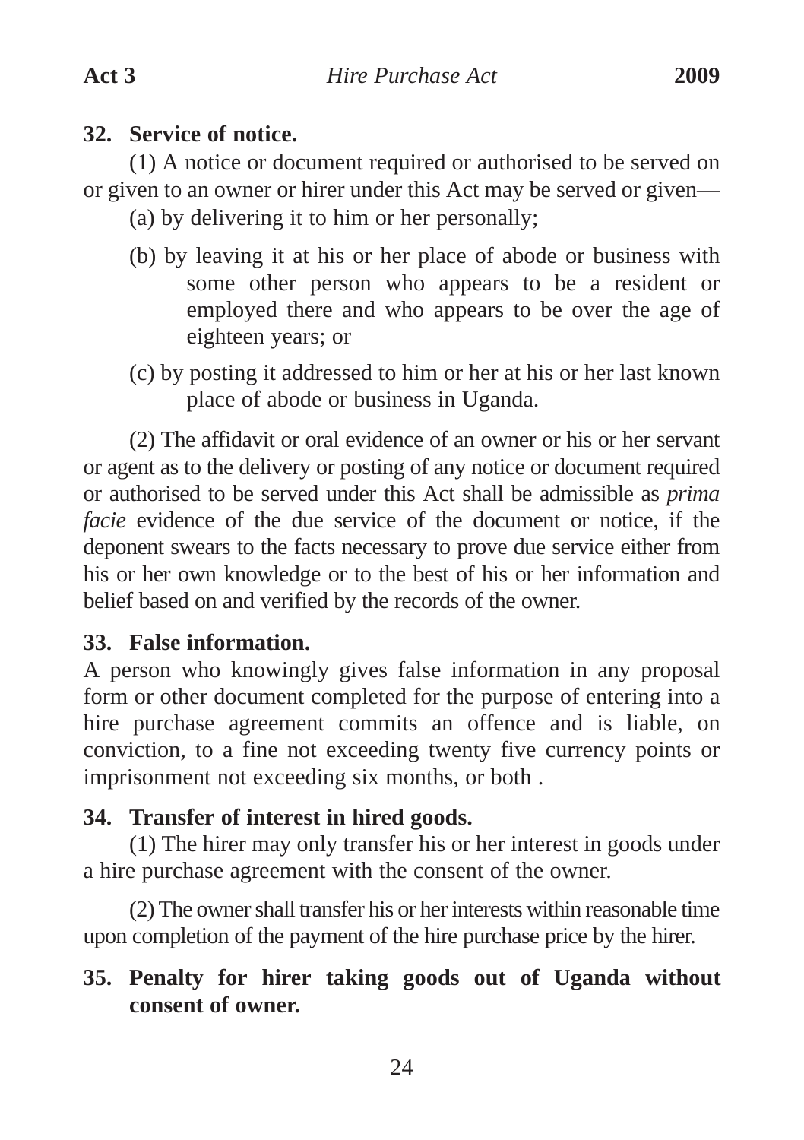## **32. Service of notice.**

(1) A notice or document required or authorised to be served on or given to an owner or hirer under this Act may be served or given—

(a) by delivering it to him or her personally;

- (b) by leaving it at his or her place of abode or business with some other person who appears to be a resident or employed there and who appears to be over the age of eighteen years; or
- (c) by posting it addressed to him or her at his or her last known place of abode or business in Uganda.

(2) The affidavit or oral evidence of an owner or his or her servant or agent as to the delivery or posting of any notice or document required or authorised to be served under this Act shall be admissible as *prima facie* evidence of the due service of the document or notice, if the deponent swears to the facts necessary to prove due service either from his or her own knowledge or to the best of his or her information and belief based on and verified by the records of the owner.

## **33. False information.**

A person who knowingly gives false information in any proposal form or other document completed for the purpose of entering into a hire purchase agreement commits an offence and is liable, on conviction, to a fine not exceeding twenty five currency points or imprisonment not exceeding six months, or both .

## **34. Transfer of interest in hired goods.**

(1) The hirer may only transfer his or her interest in goods under a hire purchase agreement with the consent of the owner.

(2) The owner shall transfer his or her interests within reasonable time upon completion of the payment of the hire purchase price by the hirer.

## **35. Penalty for hirer taking goods out of Uganda without consent of owner.**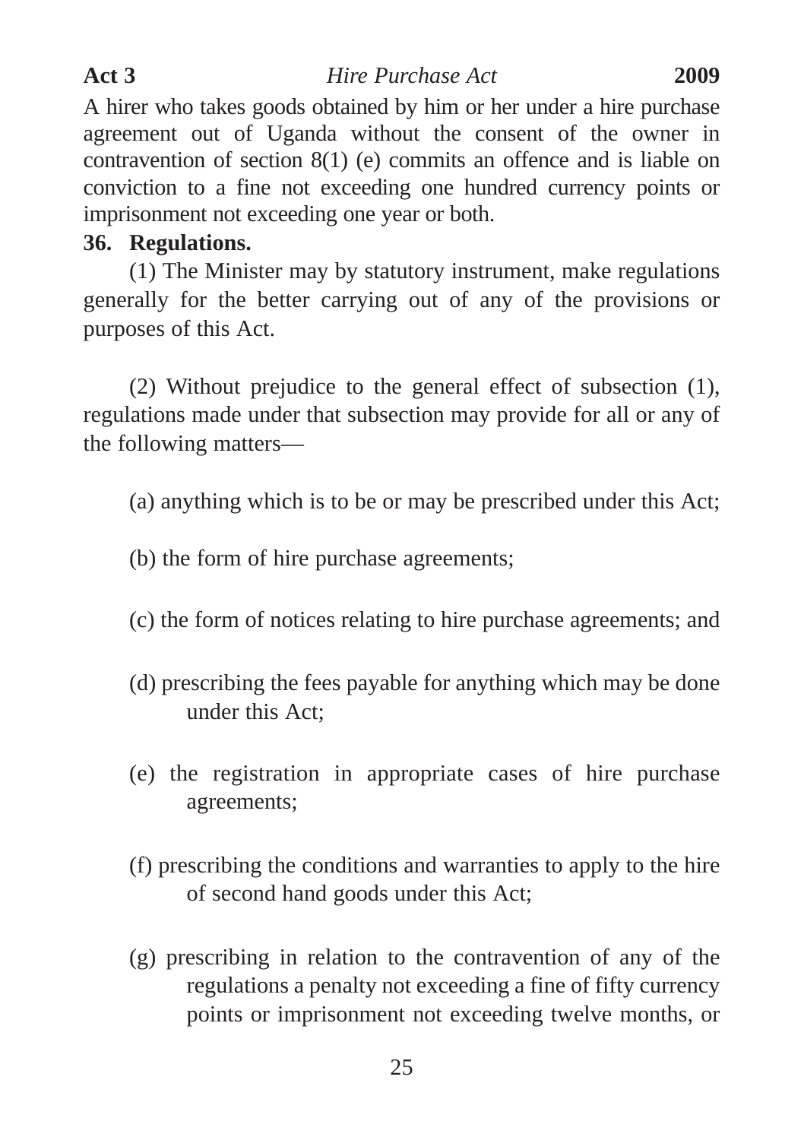A hirer who takes goods obtained by him or her under a hire purchase agreement out of Uganda without the consent of the owner in contravention of section 8(1) (e) commits an offence and is liable on conviction to a fine not exceeding one hundred currency points or imprisonment not exceeding one year or both.

## **36. Regulations.**

(1) The Minister may by statutory instrument, make regulations generally for the better carrying out of any of the provisions or purposes of this Act.

(2) Without prejudice to the general effect of subsection (1), regulations made under that subsection may provide for all or any of the following matters—

(a) anything which is to be or may be prescribed under this Act;

- (b) the form of hire purchase agreements;
- (c) the form of notices relating to hire purchase agreements; and
- (d) prescribing the fees payable for anything which may be done under this Act;
- (e) the registration in appropriate cases of hire purchase agreements;
- (f) prescribing the conditions and warranties to apply to the hire of second hand goods under this Act;
- (g) prescribing in relation to the contravention of any of the regulations a penalty not exceeding a fine of fifty currency points or imprisonment not exceeding twelve months, or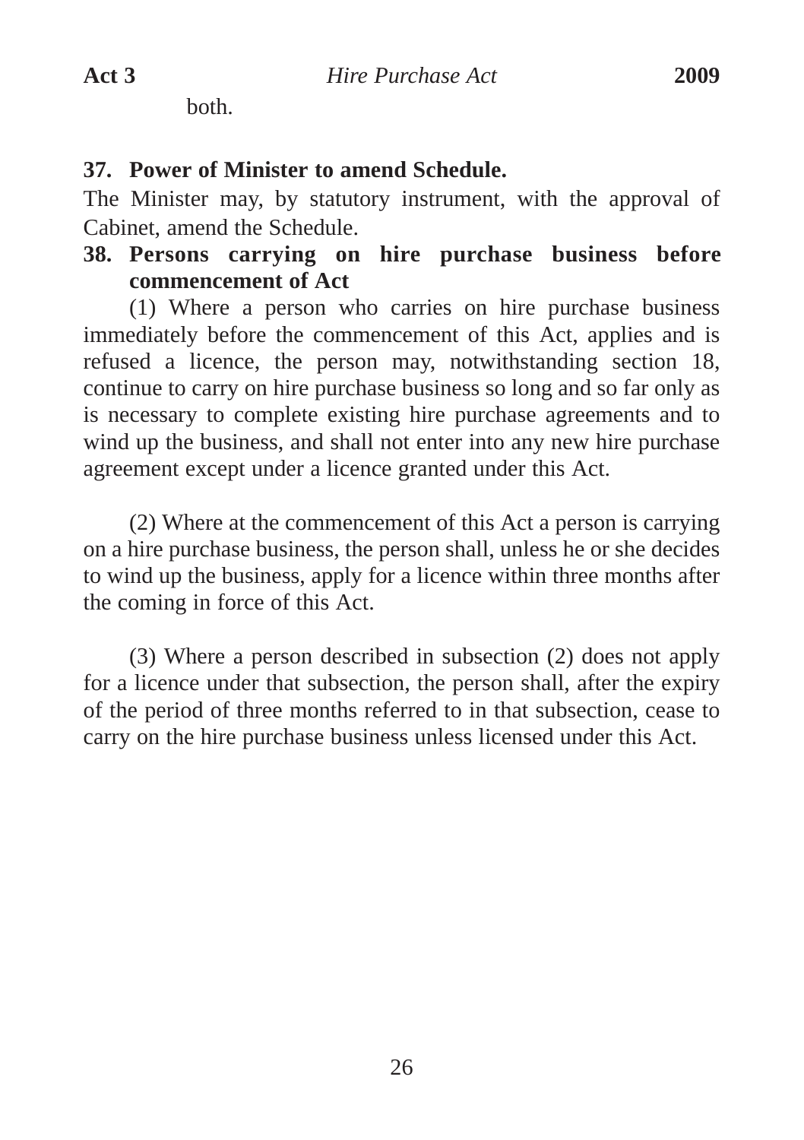both.

#### **37. Power of Minister to amend Schedule.**

The Minister may, by statutory instrument, with the approval of Cabinet, amend the Schedule.

## **38. Persons carrying on hire purchase business before commencement of Act**

(1) Where a person who carries on hire purchase business immediately before the commencement of this Act, applies and is refused a licence, the person may, notwithstanding section 18, continue to carry on hire purchase business so long and so far only as is necessary to complete existing hire purchase agreements and to wind up the business, and shall not enter into any new hire purchase agreement except under a licence granted under this Act.

(2) Where at the commencement of this Act a person is carrying on a hire purchase business, the person shall, unless he or she decides to wind up the business, apply for a licence within three months after the coming in force of this Act.

(3) Where a person described in subsection (2) does not apply for a licence under that subsection, the person shall, after the expiry of the period of three months referred to in that subsection, cease to carry on the hire purchase business unless licensed under this Act.